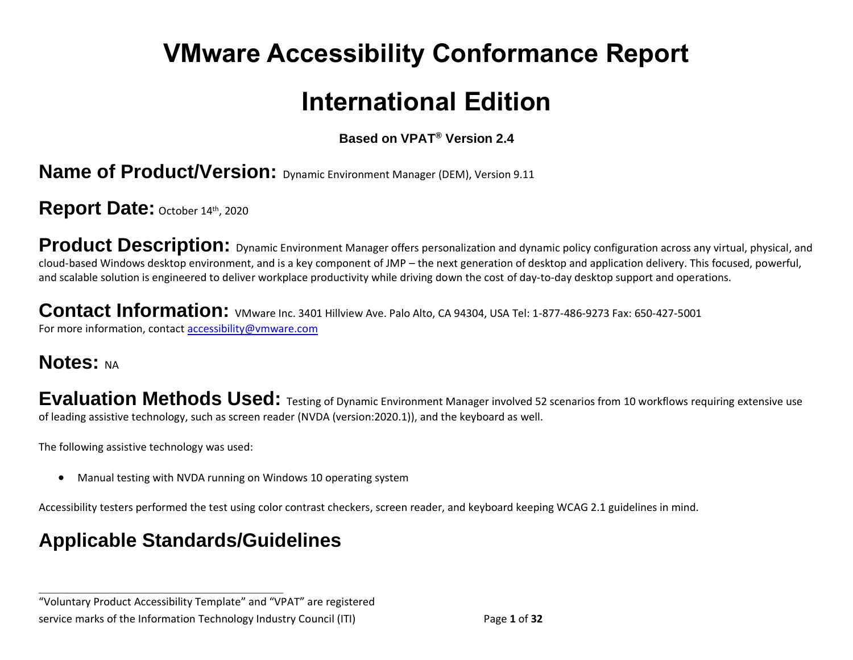# **VMware Accessibility Conformance Report**

## **International Edition**

#### **Based on VPAT® Version 2.4**

**Name of Product/Version:** Dynamic Environment Manager (DEM), Version 9.11

Report Date: October 14th, 2020

**Product Description:** Dynamic Environment Manager offers personalization and dynamic policy configuration across any virtual, physical, and cloud-based Windows desktop environment, and is a key component of JMP – the next generation of desktop and application delivery. This focused, powerful, and scalable solution is engineered to deliver workplace productivity while driving down the cost of day-to-day desktop support and operations.

Contact Information: VMware Inc. 3401 Hillview Ave. Palo Alto, CA 94304, USA Tel: 1-877-486-9273 Fax: 650-427-5001 For more information, contact [accessibility@vmware.com](mailto:accessibility@vmware.com)

## **Notes: NA**

**Evaluation Methods Used:** Testing of Dynamic Environment Manager involved 52 scenarios from 10 workflows requiring extensive use of leading assistive technology, such as screen reader (NVDA (version:2020.1)), and the keyboard as well.

The following assistive technology was used:

• Manual testing with NVDA running on Windows 10 operating system

Accessibility testers performed the test using color contrast checkers, screen reader, and keyboard keeping WCAG 2.1 guidelines in mind.

## **Applicable Standards/Guidelines**

**\_\_\_\_\_\_\_\_\_\_\_\_\_\_\_\_\_\_\_\_\_\_\_\_\_\_\_\_\_\_\_\_\_\_**

"Voluntary Product Accessibility Template" and "VPAT" are registered service marks of the Information Technology Industry Council (ITI) Page **1** of **32**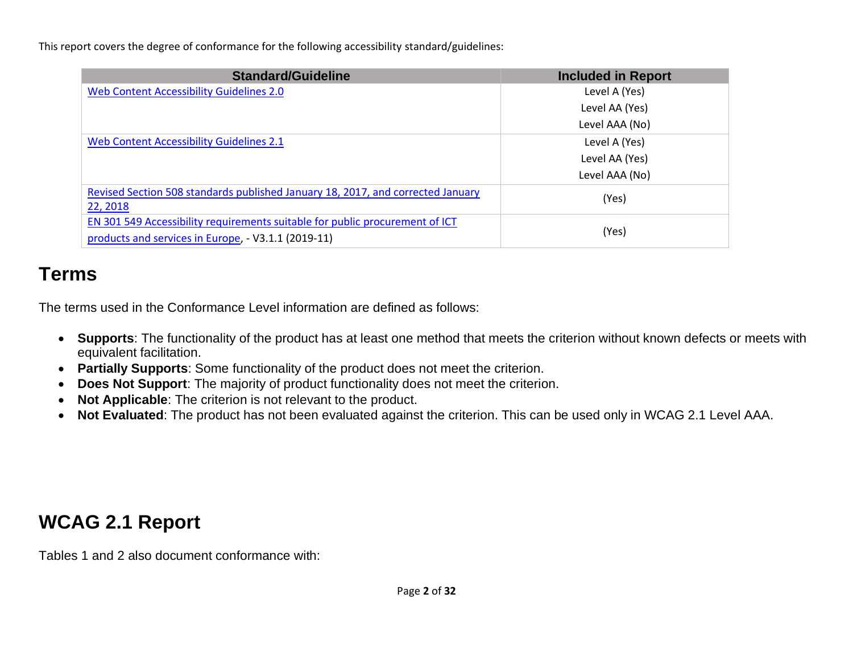This report covers the degree of conformance for the following accessibility standard/guidelines:

| <b>Standard/Guideline</b>                                                                                                           | <b>Included in Report</b> |
|-------------------------------------------------------------------------------------------------------------------------------------|---------------------------|
| Web Content Accessibility Guidelines 2.0                                                                                            | Level A (Yes)             |
|                                                                                                                                     | Level AA (Yes)            |
|                                                                                                                                     | Level AAA (No)            |
| Web Content Accessibility Guidelines 2.1                                                                                            | Level A (Yes)             |
|                                                                                                                                     | Level AA (Yes)            |
|                                                                                                                                     | Level AAA (No)            |
| Revised Section 508 standards published January 18, 2017, and corrected January<br>22, 2018                                         | (Yes)                     |
| EN 301 549 Accessibility requirements suitable for public procurement of ICT<br>products and services in Europe, - V3.1.1 (2019-11) | (Yes)                     |

### **Terms**

The terms used in the Conformance Level information are defined as follows:

- **Supports**: The functionality of the product has at least one method that meets the criterion without known defects or meets with equivalent facilitation.
- **Partially Supports**: Some functionality of the product does not meet the criterion.
- **Does Not Support**: The majority of product functionality does not meet the criterion.
- **Not Applicable**: The criterion is not relevant to the product.
- **Not Evaluated**: The product has not been evaluated against the criterion. This can be used only in WCAG 2.1 Level AAA.

## **WCAG 2.1 Report**

Tables 1 and 2 also document conformance with: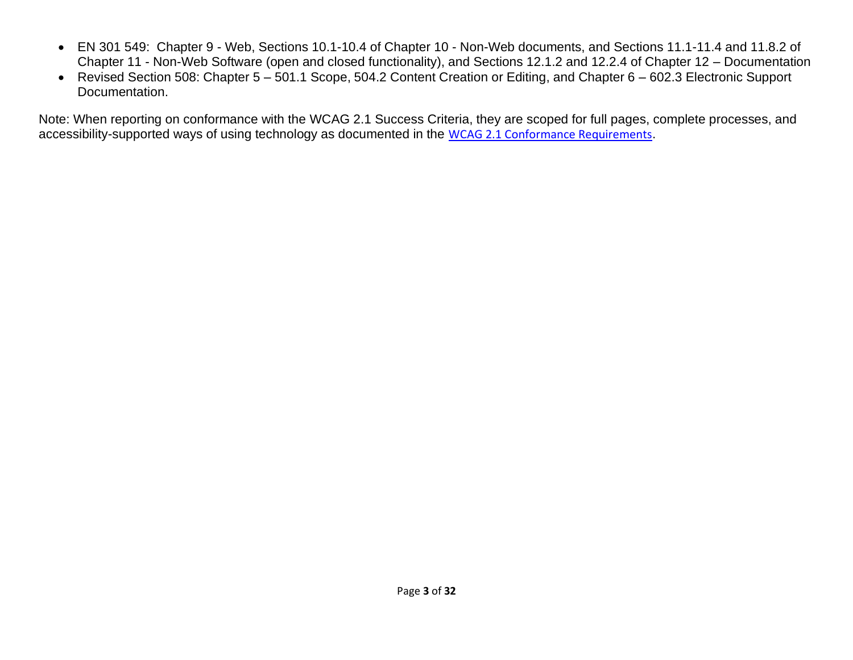- EN 301 549: Chapter 9 Web, Sections 10.1-10.4 of Chapter 10 Non-Web documents, and Sections 11.1-11.4 and 11.8.2 of Chapter 11 - Non-Web Software (open and closed functionality), and Sections 12.1.2 and 12.2.4 of Chapter 12 – Documentation
- Revised Section 508: Chapter 5 501.1 Scope, 504.2 Content Creation or Editing, and Chapter 6 602.3 Electronic Support Documentation.

Note: When reporting on conformance with the WCAG 2.1 Success Criteria, they are scoped for full pages, complete processes, and accessibility-supported ways of using technology as documented in the [WCAG 2.1 Conformance Requirements](https://www.w3.org/TR/WCAG21/).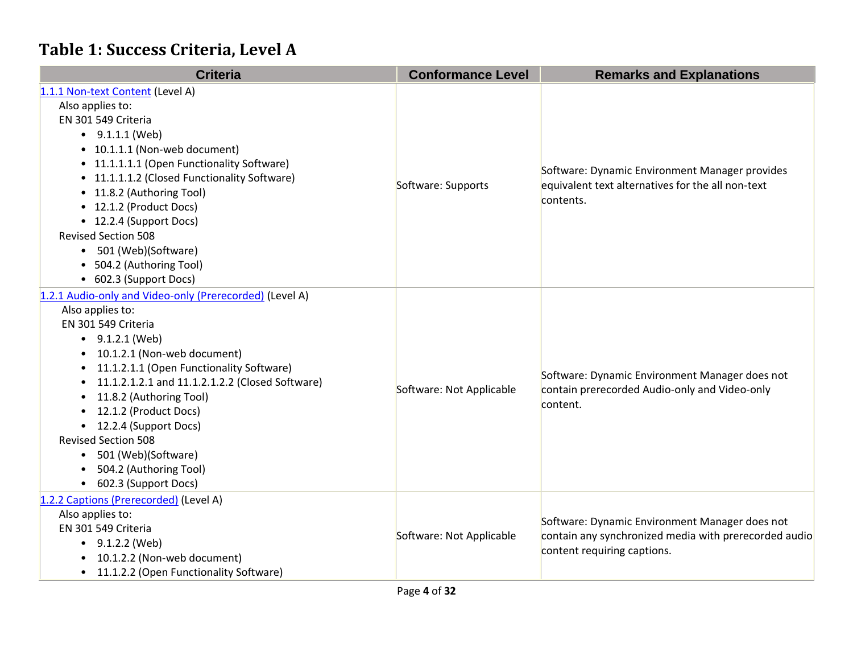#### **Table 1: Success Criteria, Level A**

| <b>Criteria</b>                                         | <b>Conformance Level</b> | <b>Remarks and Explanations</b>                                                                             |
|---------------------------------------------------------|--------------------------|-------------------------------------------------------------------------------------------------------------|
| 1.1.1 Non-text Content (Level A)                        |                          |                                                                                                             |
| Also applies to:                                        |                          |                                                                                                             |
| EN 301 549 Criteria                                     |                          |                                                                                                             |
| $\bullet$ 9.1.1.1 (Web)                                 |                          |                                                                                                             |
| • 10.1.1.1 (Non-web document)                           |                          |                                                                                                             |
| • 11.1.1.1.1 (Open Functionality Software)              |                          |                                                                                                             |
| • 11.1.1.1.2 (Closed Functionality Software)            |                          | Software: Dynamic Environment Manager provides<br>equivalent text alternatives for the all non-text         |
| • 11.8.2 (Authoring Tool)                               | Software: Supports       |                                                                                                             |
| • 12.1.2 (Product Docs)                                 |                          | contents.                                                                                                   |
| • 12.2.4 (Support Docs)                                 |                          |                                                                                                             |
| <b>Revised Section 508</b>                              |                          |                                                                                                             |
| 501 (Web)(Software)                                     |                          |                                                                                                             |
| • 504.2 (Authoring Tool)                                |                          |                                                                                                             |
| • 602.3 (Support Docs)                                  |                          |                                                                                                             |
| 1.2.1 Audio-only and Video-only (Prerecorded) (Level A) |                          | Software: Dynamic Environment Manager does not<br>contain prerecorded Audio-only and Video-only<br>content. |
| Also applies to:                                        |                          |                                                                                                             |
| EN 301 549 Criteria                                     |                          |                                                                                                             |
| $\bullet$ 9.1.2.1 (Web)                                 |                          |                                                                                                             |
| 10.1.2.1 (Non-web document)                             |                          |                                                                                                             |
| 11.1.2.1.1 (Open Functionality Software)                |                          |                                                                                                             |
| 11.1.2.1.2.1 and 11.1.2.1.2.2 (Closed Software)         | Software: Not Applicable |                                                                                                             |
| 11.8.2 (Authoring Tool)                                 |                          |                                                                                                             |
| 12.1.2 (Product Docs)                                   |                          |                                                                                                             |
| 12.2.4 (Support Docs)                                   |                          |                                                                                                             |
| <b>Revised Section 508</b>                              |                          |                                                                                                             |
| 501 (Web)(Software)<br>$\bullet$                        |                          |                                                                                                             |
| 504.2 (Authoring Tool)                                  |                          |                                                                                                             |
| 602.3 (Support Docs)                                    |                          |                                                                                                             |
| 1.2.2 Captions (Prerecorded) (Level A)                  |                          |                                                                                                             |
| Also applies to:                                        |                          | Software: Dynamic Environment Manager does not<br>contain any synchronized media with prerecorded audio     |
| EN 301 549 Criteria                                     | Software: Not Applicable |                                                                                                             |
| $\bullet$ 9.1.2.2 (Web)                                 |                          | content requiring captions.                                                                                 |
| 10.1.2.2 (Non-web document)                             |                          |                                                                                                             |
| 11.1.2.2 (Open Functionality Software)<br>$\bullet$     |                          |                                                                                                             |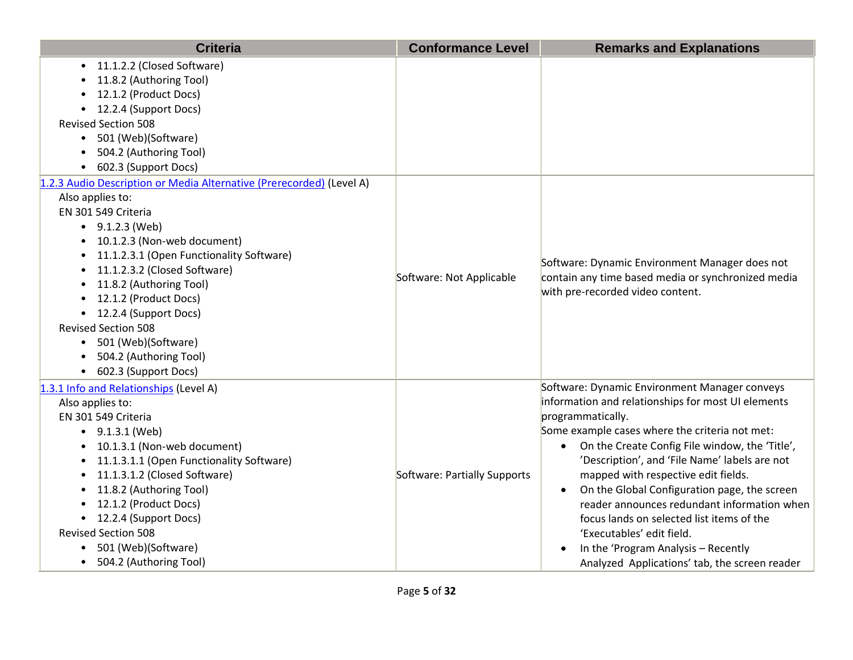| <b>Criteria</b>                                                                                                                                                                                                                                                                                                                                                                                                                                       | <b>Conformance Level</b>     | <b>Remarks and Explanations</b>                                                                                                                                                                                                                                                                                                                                                                                                                                                                                                                                                                                              |
|-------------------------------------------------------------------------------------------------------------------------------------------------------------------------------------------------------------------------------------------------------------------------------------------------------------------------------------------------------------------------------------------------------------------------------------------------------|------------------------------|------------------------------------------------------------------------------------------------------------------------------------------------------------------------------------------------------------------------------------------------------------------------------------------------------------------------------------------------------------------------------------------------------------------------------------------------------------------------------------------------------------------------------------------------------------------------------------------------------------------------------|
| • 11.1.2.2 (Closed Software)<br>11.8.2 (Authoring Tool)<br>12.1.2 (Product Docs)<br>• 12.2.4 (Support Docs)<br><b>Revised Section 508</b><br>• 501 (Web)(Software)<br>504.2 (Authoring Tool)<br>602.3 (Support Docs)                                                                                                                                                                                                                                  |                              |                                                                                                                                                                                                                                                                                                                                                                                                                                                                                                                                                                                                                              |
| 1.2.3 Audio Description or Media Alternative (Prerecorded) (Level A)<br>Also applies to:<br>EN 301 549 Criteria<br>$\bullet$ 9.1.2.3 (Web)<br>• 10.1.2.3 (Non-web document)<br>11.1.2.3.1 (Open Functionality Software)<br>11.1.2.3.2 (Closed Software)<br>11.8.2 (Authoring Tool)<br>• 12.1.2 (Product Docs)<br>• 12.2.4 (Support Docs)<br><b>Revised Section 508</b><br>• 501 (Web)(Software)<br>• 504.2 (Authoring Tool)<br>• 602.3 (Support Docs) | Software: Not Applicable     | Software: Dynamic Environment Manager does not<br>contain any time based media or synchronized media<br>with pre-recorded video content.                                                                                                                                                                                                                                                                                                                                                                                                                                                                                     |
| 1.3.1 Info and Relationships (Level A)<br>Also applies to:<br>EN 301 549 Criteria<br>• $9.1.3.1$ (Web)<br>10.1.3.1 (Non-web document)<br>11.1.3.1.1 (Open Functionality Software)<br>11.1.3.1.2 (Closed Software)<br>11.8.2 (Authoring Tool)<br>$\bullet$<br>• 12.1.2 (Product Docs)<br>• 12.2.4 (Support Docs)<br><b>Revised Section 508</b><br>501 (Web)(Software)<br>$\bullet$<br>• 504.2 (Authoring Tool)                                         | Software: Partially Supports | Software: Dynamic Environment Manager conveys<br>information and relationships for most UI elements<br>programmatically.<br>Some example cases where the criteria not met:<br>On the Create Config File window, the 'Title',<br>$\bullet$<br>'Description', and 'File Name' labels are not<br>mapped with respective edit fields.<br>On the Global Configuration page, the screen<br>$\bullet$<br>reader announces redundant information when<br>focus lands on selected list items of the<br>'Executables' edit field.<br>In the 'Program Analysis - Recently<br>$\bullet$<br>Analyzed Applications' tab, the screen reader |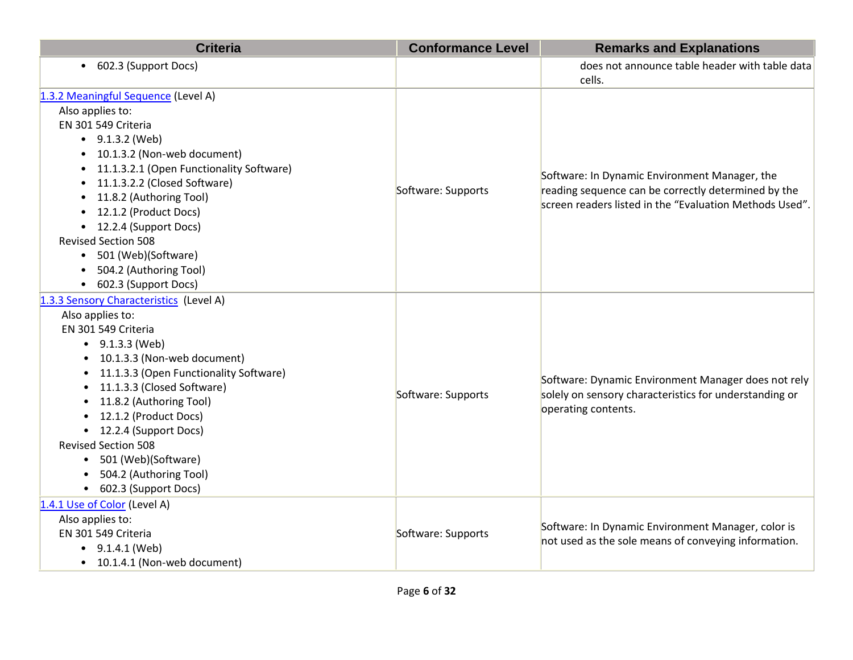| <b>Criteria</b>                                  | <b>Conformance Level</b> | <b>Remarks and Explanations</b>                          |
|--------------------------------------------------|--------------------------|----------------------------------------------------------|
| 602.3 (Support Docs)<br>$\bullet$                |                          | does not announce table header with table data<br>cells. |
| 1.3.2 Meaningful Sequence (Level A)              |                          |                                                          |
| Also applies to:                                 |                          |                                                          |
| EN 301 549 Criteria                              |                          |                                                          |
| $\bullet$ 9.1.3.2 (Web)                          |                          |                                                          |
| • 10.1.3.2 (Non-web document)                    |                          |                                                          |
| 11.1.3.2.1 (Open Functionality Software)         |                          | Software: In Dynamic Environment Manager, the            |
| 11.1.3.2.2 (Closed Software)                     | Software: Supports       | reading sequence can be correctly determined by the      |
| 11.8.2 (Authoring Tool)                          |                          | screen readers listed in the "Evaluation Methods Used".  |
| 12.1.2 (Product Docs)                            |                          |                                                          |
| • 12.2.4 (Support Docs)                          |                          |                                                          |
| <b>Revised Section 508</b>                       |                          |                                                          |
| • 501 (Web)(Software)                            |                          |                                                          |
| 504.2 (Authoring Tool)                           |                          |                                                          |
| • 602.3 (Support Docs)                           |                          |                                                          |
| 1.3.3 Sensory Characteristics (Level A)          |                          |                                                          |
| Also applies to:                                 |                          |                                                          |
| EN 301 549 Criteria                              |                          |                                                          |
| • $9.1.3.3$ (Web)                                |                          |                                                          |
| 10.1.3.3 (Non-web document)                      |                          |                                                          |
| 11.1.3.3 (Open Functionality Software)           |                          | Software: Dynamic Environment Manager does not rely      |
| 11.1.3.3 (Closed Software)                       | Software: Supports       | solely on sensory characteristics for understanding or   |
| 11.8.2 (Authoring Tool)<br>12.1.2 (Product Docs) |                          | operating contents.                                      |
| • 12.2.4 (Support Docs)                          |                          |                                                          |
| <b>Revised Section 508</b>                       |                          |                                                          |
| 501 (Web)(Software)<br>$\bullet$                 |                          |                                                          |
| 504.2 (Authoring Tool)                           |                          |                                                          |
| 602.3 (Support Docs)<br>$\bullet$                |                          |                                                          |
| 1.4.1 Use of Color (Level A)                     |                          |                                                          |
| Also applies to:                                 |                          |                                                          |
| EN 301 549 Criteria                              | Software: Supports       | Software: In Dynamic Environment Manager, color is       |
| $\bullet$ 9.1.4.1 (Web)                          |                          | not used as the sole means of conveying information.     |
| • 10.1.4.1 (Non-web document)                    |                          |                                                          |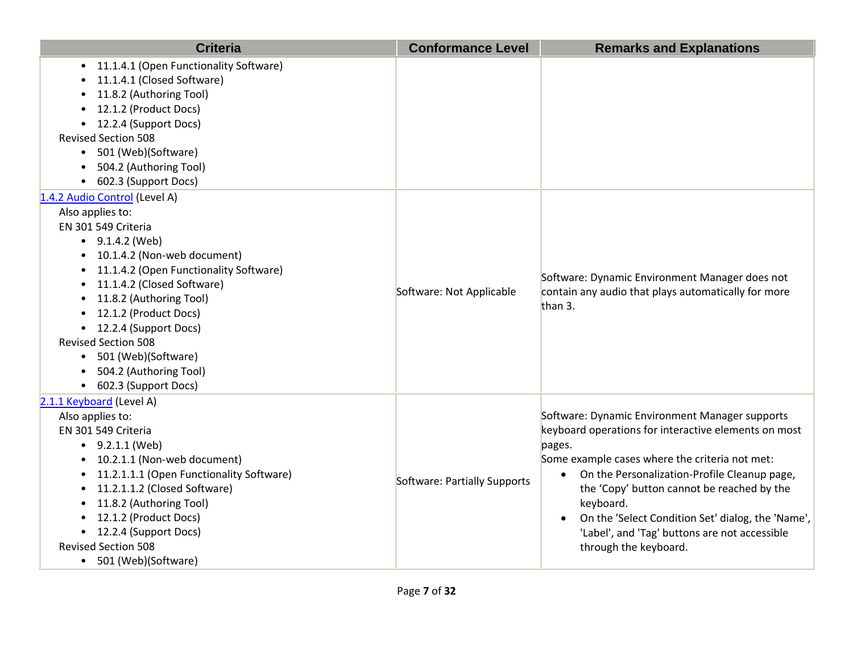| <b>Criteria</b>                                                                                                                                                                                                                                                                                                                                                                                            | <b>Conformance Level</b>     | <b>Remarks and Explanations</b>                                                                                                                                                                                                                                                                                                                                                                                           |
|------------------------------------------------------------------------------------------------------------------------------------------------------------------------------------------------------------------------------------------------------------------------------------------------------------------------------------------------------------------------------------------------------------|------------------------------|---------------------------------------------------------------------------------------------------------------------------------------------------------------------------------------------------------------------------------------------------------------------------------------------------------------------------------------------------------------------------------------------------------------------------|
| 11.1.4.1 (Open Functionality Software)<br>11.1.4.1 (Closed Software)<br>11.8.2 (Authoring Tool)<br>12.1.2 (Product Docs)<br>12.2.4 (Support Docs)<br><b>Revised Section 508</b><br>• 501 (Web)(Software)<br>504.2 (Authoring Tool)<br>602.3 (Support Docs)                                                                                                                                                 |                              |                                                                                                                                                                                                                                                                                                                                                                                                                           |
| 1.4.2 Audio Control (Level A)<br>Also applies to:<br>EN 301 549 Criteria<br>$\bullet$ 9.1.4.2 (Web)<br>• 10.1.4.2 (Non-web document)<br>11.1.4.2 (Open Functionality Software)<br>11.1.4.2 (Closed Software)<br>• 11.8.2 (Authoring Tool)<br>• 12.1.2 (Product Docs)<br>• 12.2.4 (Support Docs)<br><b>Revised Section 508</b><br>• 501 (Web)(Software)<br>504.2 (Authoring Tool)<br>• 602.3 (Support Docs) | Software: Not Applicable     | Software: Dynamic Environment Manager does not<br>contain any audio that plays automatically for more<br>than 3.                                                                                                                                                                                                                                                                                                          |
| 2.1.1 Keyboard (Level A)<br>Also applies to:<br>EN 301 549 Criteria<br>$\bullet$ 9.2.1.1 (Web)<br>10.2.1.1 (Non-web document)<br>11.2.1.1.1 (Open Functionality Software)<br>$\bullet$<br>11.2.1.1.2 (Closed Software)<br>$\bullet$<br>11.8.2 (Authoring Tool)<br>• 12.1.2 (Product Docs)<br>• 12.2.4 (Support Docs)<br><b>Revised Section 508</b><br>• 501 (Web)(Software)                                | Software: Partially Supports | Software: Dynamic Environment Manager supports<br>keyboard operations for interactive elements on most<br>pages.<br>Some example cases where the criteria not met:<br>On the Personalization-Profile Cleanup page,<br>$\bullet$<br>the 'Copy' button cannot be reached by the<br>keyboard.<br>On the 'Select Condition Set' dialog, the 'Name',<br>'Label', and 'Tag' buttons are not accessible<br>through the keyboard. |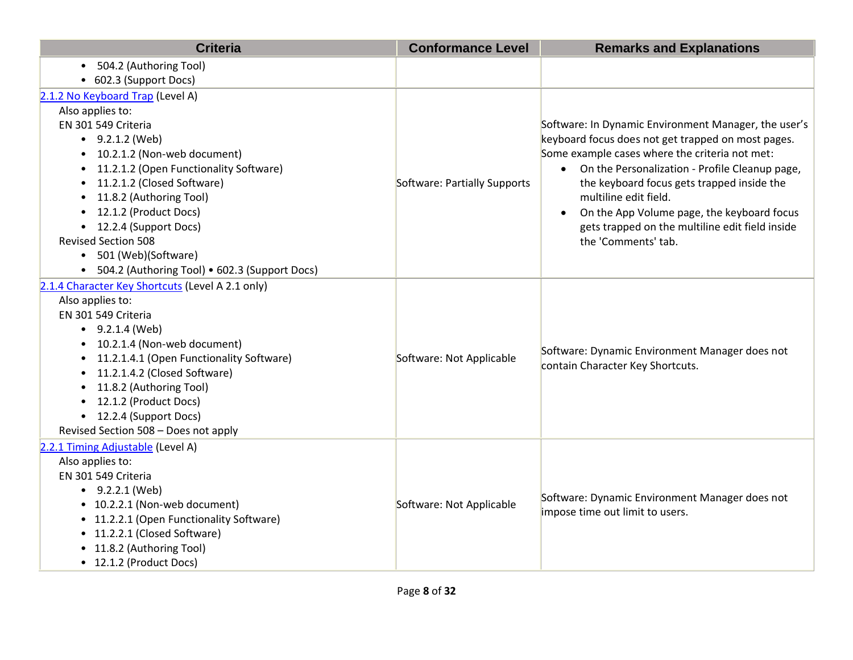| <b>Criteria</b>                                     | <b>Conformance Level</b>     | <b>Remarks and Explanations</b>                                                                               |
|-----------------------------------------------------|------------------------------|---------------------------------------------------------------------------------------------------------------|
| • 504.2 (Authoring Tool)                            |                              |                                                                                                               |
| • 602.3 (Support Docs)                              |                              |                                                                                                               |
| 2.1.2 No Keyboard Trap (Level A)                    |                              |                                                                                                               |
| Also applies to:                                    |                              |                                                                                                               |
| EN 301 549 Criteria                                 |                              | Software: In Dynamic Environment Manager, the user's                                                          |
| $\bullet$ 9.2.1.2 (Web)                             |                              | keyboard focus does not get trapped on most pages.                                                            |
| 10.2.1.2 (Non-web document)                         |                              | Some example cases where the criteria not met:<br>On the Personalization - Profile Cleanup page,<br>$\bullet$ |
| 11.2.1.2 (Open Functionality Software)<br>$\bullet$ |                              |                                                                                                               |
| 11.2.1.2 (Closed Software)<br>$\bullet$             | Software: Partially Supports | the keyboard focus gets trapped inside the                                                                    |
| 11.8.2 (Authoring Tool)                             |                              | multiline edit field.                                                                                         |
| 12.1.2 (Product Docs)                               |                              | On the App Volume page, the keyboard focus<br>$\bullet$                                                       |
| 12.2.4 (Support Docs)                               |                              | gets trapped on the multiline edit field inside                                                               |
| <b>Revised Section 508</b>                          |                              | the 'Comments' tab.                                                                                           |
| 501 (Web)(Software)<br>$\bullet$                    |                              |                                                                                                               |
| • 504.2 (Authoring Tool) • 602.3 (Support Docs)     |                              |                                                                                                               |
| 2.1.4 Character Key Shortcuts (Level A 2.1 only)    |                              |                                                                                                               |
| Also applies to:                                    |                              | Software: Dynamic Environment Manager does not<br>contain Character Key Shortcuts.                            |
| EN 301 549 Criteria                                 |                              |                                                                                                               |
| $\bullet$ 9.2.1.4 (Web)                             |                              |                                                                                                               |
| 10.2.1.4 (Non-web document)                         |                              |                                                                                                               |
| 11.2.1.4.1 (Open Functionality Software)            | Software: Not Applicable     |                                                                                                               |
| 11.2.1.4.2 (Closed Software)                        |                              |                                                                                                               |
| 11.8.2 (Authoring Tool)                             |                              |                                                                                                               |
| 12.1.2 (Product Docs)                               |                              |                                                                                                               |
| 12.2.4 (Support Docs)<br>$\bullet$                  |                              |                                                                                                               |
| Revised Section 508 - Does not apply                |                              |                                                                                                               |
| 2.2.1 Timing Adjustable (Level A)                   |                              |                                                                                                               |
| Also applies to:                                    |                              |                                                                                                               |
| EN 301 549 Criteria                                 |                              |                                                                                                               |
| $-9.2.2.1$ (Web)                                    | Software: Not Applicable     | Software: Dynamic Environment Manager does not                                                                |
| • 10.2.2.1 (Non-web document)                       |                              | impose time out limit to users.                                                                               |
| • 11.2.2.1 (Open Functionality Software)            |                              |                                                                                                               |
| • 11.2.2.1 (Closed Software)                        |                              |                                                                                                               |
| • 11.8.2 (Authoring Tool)                           |                              |                                                                                                               |
| • 12.1.2 (Product Docs)                             |                              |                                                                                                               |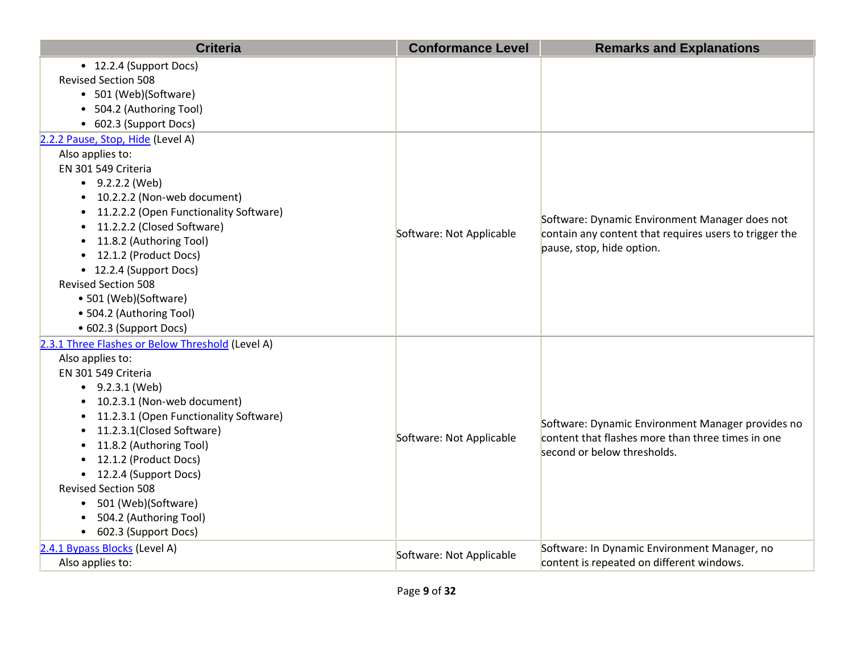| <b>Criteria</b>                                                                                                                                                                                                                                                                                                                                                                                                                                             | <b>Conformance Level</b> | <b>Remarks and Explanations</b>                                                                                                       |
|-------------------------------------------------------------------------------------------------------------------------------------------------------------------------------------------------------------------------------------------------------------------------------------------------------------------------------------------------------------------------------------------------------------------------------------------------------------|--------------------------|---------------------------------------------------------------------------------------------------------------------------------------|
| • 12.2.4 (Support Docs)<br><b>Revised Section 508</b><br>• 501 (Web)(Software)<br>• 504.2 (Authoring Tool)<br>• 602.3 (Support Docs)                                                                                                                                                                                                                                                                                                                        |                          |                                                                                                                                       |
| 2.2.2 Pause, Stop, Hide (Level A)<br>Also applies to:<br>EN 301 549 Criteria<br>$\bullet$ 9.2.2.2 (Web)<br>10.2.2.2 (Non-web document)<br>11.2.2.2 (Open Functionality Software)<br>11.2.2.2 (Closed Software)<br>$\bullet$<br>11.8.2 (Authoring Tool)<br>$\bullet$<br>12.1.2 (Product Docs)<br>• 12.2.4 (Support Docs)<br><b>Revised Section 508</b><br>• 501 (Web)(Software)<br>• 504.2 (Authoring Tool)<br>• 602.3 (Support Docs)                        | Software: Not Applicable | Software: Dynamic Environment Manager does not<br>contain any content that requires users to trigger the<br>pause, stop, hide option. |
| 2.3.1 Three Flashes or Below Threshold (Level A)<br>Also applies to:<br>EN 301 549 Criteria<br>$\bullet$ 9.2.3.1 (Web)<br>10.2.3.1 (Non-web document)<br>11.2.3.1 (Open Functionality Software)<br>11.2.3.1(Closed Software)<br>$\bullet$<br>11.8.2 (Authoring Tool)<br>$\bullet$<br>12.1.2 (Product Docs)<br>• 12.2.4 (Support Docs)<br><b>Revised Section 508</b><br>• 501 (Web)(Software)<br>504.2 (Authoring Tool)<br>602.3 (Support Docs)<br>$\bullet$ | Software: Not Applicable | Software: Dynamic Environment Manager provides no<br>content that flashes more than three times in one<br>second or below thresholds. |
| 2.4.1 Bypass Blocks (Level A)<br>Also applies to:                                                                                                                                                                                                                                                                                                                                                                                                           | Software: Not Applicable | Software: In Dynamic Environment Manager, no<br>content is repeated on different windows.                                             |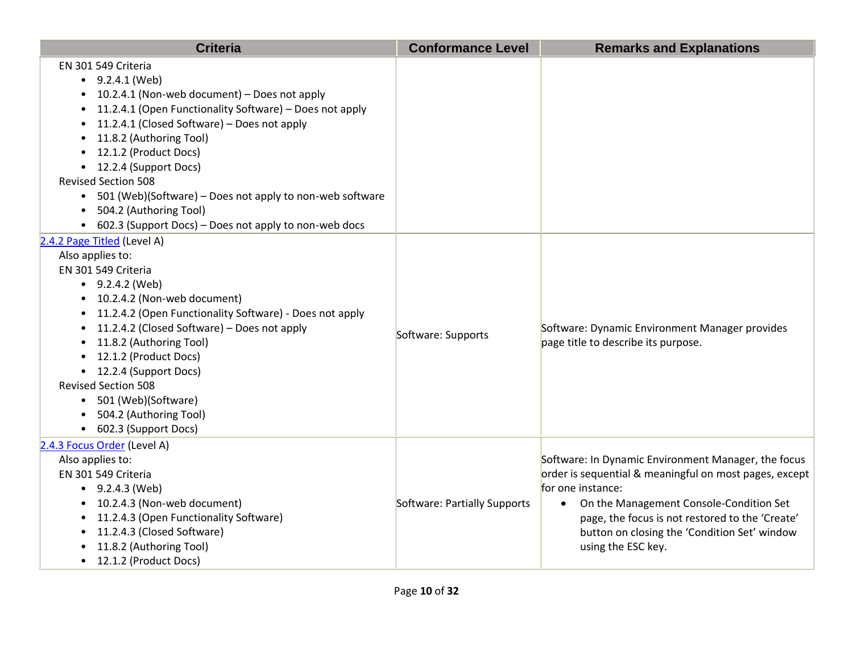| <b>Criteria</b>                                            | <b>Conformance Level</b>     | <b>Remarks and Explanations</b>                        |
|------------------------------------------------------------|------------------------------|--------------------------------------------------------|
| EN 301 549 Criteria                                        |                              |                                                        |
| $-9.2.4.1$ (Web)                                           |                              |                                                        |
| 10.2.4.1 (Non-web document) - Does not apply               |                              |                                                        |
| 11.2.4.1 (Open Functionality Software) - Does not apply    |                              |                                                        |
| 11.2.4.1 (Closed Software) - Does not apply                |                              |                                                        |
| 11.8.2 (Authoring Tool)                                    |                              |                                                        |
| 12.1.2 (Product Docs)                                      |                              |                                                        |
| • 12.2.4 (Support Docs)                                    |                              |                                                        |
| <b>Revised Section 508</b>                                 |                              |                                                        |
| • 501 (Web)(Software) – Does not apply to non-web software |                              |                                                        |
| 504.2 (Authoring Tool)<br>$\bullet$                        |                              |                                                        |
| • 602.3 (Support Docs) – Does not apply to non-web docs    |                              |                                                        |
| 2.4.2 Page Titled (Level A)                                |                              |                                                        |
| Also applies to:                                           |                              |                                                        |
| EN 301 549 Criteria                                        |                              |                                                        |
| $\bullet$ 9.2.4.2 (Web)                                    |                              |                                                        |
| • 10.2.4.2 (Non-web document)                              |                              |                                                        |
| 11.2.4.2 (Open Functionality Software) - Does not apply    |                              |                                                        |
| 11.2.4.2 (Closed Software) – Does not apply                | Software: Supports           | Software: Dynamic Environment Manager provides         |
| 11.8.2 (Authoring Tool)                                    |                              | page title to describe its purpose.                    |
| 12.1.2 (Product Docs)                                      |                              |                                                        |
| • 12.2.4 (Support Docs)                                    |                              |                                                        |
| <b>Revised Section 508</b>                                 |                              |                                                        |
| • 501 (Web)(Software)                                      |                              |                                                        |
| 504.2 (Authoring Tool)                                     |                              |                                                        |
| • 602.3 (Support Docs)                                     |                              |                                                        |
| 2.4.3 Focus Order (Level A)                                |                              |                                                        |
| Also applies to:                                           |                              | Software: In Dynamic Environment Manager, the focus    |
| EN 301 549 Criteria                                        |                              | order is sequential & meaningful on most pages, except |
| • $9.2.4.3$ (Web)                                          |                              | for one instance:                                      |
| • 10.2.4.3 (Non-web document)                              | Software: Partially Supports | • On the Management Console-Condition Set              |
| • 11.2.4.3 (Open Functionality Software)                   |                              | page, the focus is not restored to the 'Create'        |
| 11.2.4.3 (Closed Software)                                 |                              | button on closing the 'Condition Set' window           |
| 11.8.2 (Authoring Tool)                                    |                              | using the ESC key.                                     |
| • 12.1.2 (Product Docs)                                    |                              |                                                        |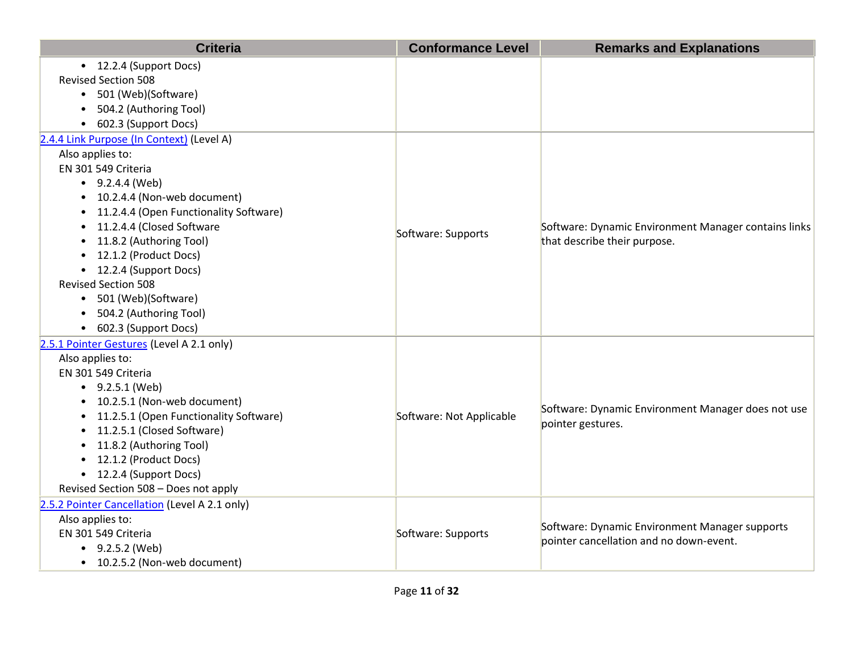| <b>Criteria</b>                                                                                                                                                                                                                                                                                                                                                                                                                      | <b>Conformance Level</b> | <b>Remarks and Explanations</b>                                                           |
|--------------------------------------------------------------------------------------------------------------------------------------------------------------------------------------------------------------------------------------------------------------------------------------------------------------------------------------------------------------------------------------------------------------------------------------|--------------------------|-------------------------------------------------------------------------------------------|
| • 12.2.4 (Support Docs)<br><b>Revised Section 508</b><br>• 501 (Web)(Software)<br>504.2 (Authoring Tool)<br>602.3 (Support Docs)<br>$\bullet$                                                                                                                                                                                                                                                                                        |                          |                                                                                           |
| 2.4.4 Link Purpose (In Context) (Level A)<br>Also applies to:<br>EN 301 549 Criteria<br>$\bullet$ 9.2.4.4 (Web)<br>• 10.2.4.4 (Non-web document)<br>• 11.2.4.4 (Open Functionality Software)<br>11.2.4.4 (Closed Software<br>$\bullet$<br>11.8.2 (Authoring Tool)<br>• 12.1.2 (Product Docs)<br>• 12.2.4 (Support Docs)<br><b>Revised Section 508</b><br>• 501 (Web)(Software)<br>• 504.2 (Authoring Tool)<br>• 602.3 (Support Docs) | Software: Supports       | Software: Dynamic Environment Manager contains links<br>that describe their purpose.      |
| 2.5.1 Pointer Gestures (Level A 2.1 only)<br>Also applies to:<br>EN 301 549 Criteria<br>$\bullet$ 9.2.5.1 (Web)<br>10.2.5.1 (Non-web document)<br>11.2.5.1 (Open Functionality Software)<br>11.2.5.1 (Closed Software)<br>11.8.2 (Authoring Tool)<br>• 12.1.2 (Product Docs)<br>• 12.2.4 (Support Docs)<br>Revised Section 508 - Does not apply                                                                                      | Software: Not Applicable | Software: Dynamic Environment Manager does not use<br>pointer gestures.                   |
| 2.5.2 Pointer Cancellation (Level A 2.1 only)<br>Also applies to:<br>EN 301 549 Criteria<br>$-9.2.5.2$ (Web)<br>• 10.2.5.2 (Non-web document)                                                                                                                                                                                                                                                                                        | Software: Supports       | Software: Dynamic Environment Manager supports<br>pointer cancellation and no down-event. |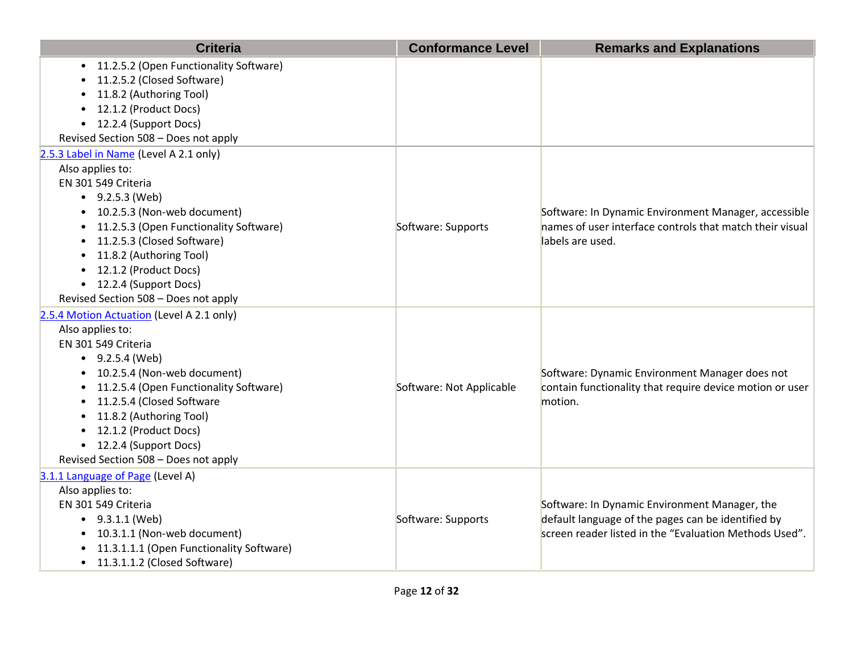| <b>Criteria</b>                           | <b>Conformance Level</b> | <b>Remarks and Explanations</b>                          |
|-------------------------------------------|--------------------------|----------------------------------------------------------|
| 11.2.5.2 (Open Functionality Software)    |                          |                                                          |
| 11.2.5.2 (Closed Software)                |                          |                                                          |
| 11.8.2 (Authoring Tool)                   |                          |                                                          |
| 12.1.2 (Product Docs)                     |                          |                                                          |
| 12.2.4 (Support Docs)<br>$\bullet$        |                          |                                                          |
| Revised Section 508 - Does not apply      |                          |                                                          |
| 2.5.3 Label in Name (Level A 2.1 only)    |                          |                                                          |
| Also applies to:                          |                          |                                                          |
| EN 301 549 Criteria                       |                          |                                                          |
| $\bullet$ 9.2.5.3 (Web)                   |                          |                                                          |
| 10.2.5.3 (Non-web document)               |                          | Software: In Dynamic Environment Manager, accessible     |
| 11.2.5.3 (Open Functionality Software)    | Software: Supports       | names of user interface controls that match their visual |
| 11.2.5.3 (Closed Software)                |                          | labels are used.                                         |
| 11.8.2 (Authoring Tool)                   |                          |                                                          |
| 12.1.2 (Product Docs)                     |                          |                                                          |
| • 12.2.4 (Support Docs)                   |                          |                                                          |
| Revised Section 508 - Does not apply      |                          |                                                          |
| 2.5.4 Motion Actuation (Level A 2.1 only) |                          |                                                          |
| Also applies to:                          |                          |                                                          |
| EN 301 549 Criteria                       |                          |                                                          |
| $\bullet$ 9.2.5.4 (Web)                   |                          |                                                          |
| 10.2.5.4 (Non-web document)               |                          | Software: Dynamic Environment Manager does not           |
| 11.2.5.4 (Open Functionality Software)    | Software: Not Applicable | contain functionality that require device motion or user |
| 11.2.5.4 (Closed Software                 |                          | motion.                                                  |
| 11.8.2 (Authoring Tool)                   |                          |                                                          |
| 12.1.2 (Product Docs)<br>$\bullet$        |                          |                                                          |
| • 12.2.4 (Support Docs)                   |                          |                                                          |
| Revised Section 508 - Does not apply      |                          |                                                          |
| 3.1.1 Language of Page (Level A)          |                          |                                                          |
| Also applies to:                          |                          |                                                          |
| EN 301 549 Criteria                       |                          | Software: In Dynamic Environment Manager, the            |
| $\bullet$ 9.3.1.1 (Web)                   | Software: Supports       | default language of the pages can be identified by       |
| 10.3.1.1 (Non-web document)               |                          | screen reader listed in the "Evaluation Methods Used".   |
| 11.3.1.1.1 (Open Functionality Software)  |                          |                                                          |
| 11.3.1.1.2 (Closed Software)<br>$\bullet$ |                          |                                                          |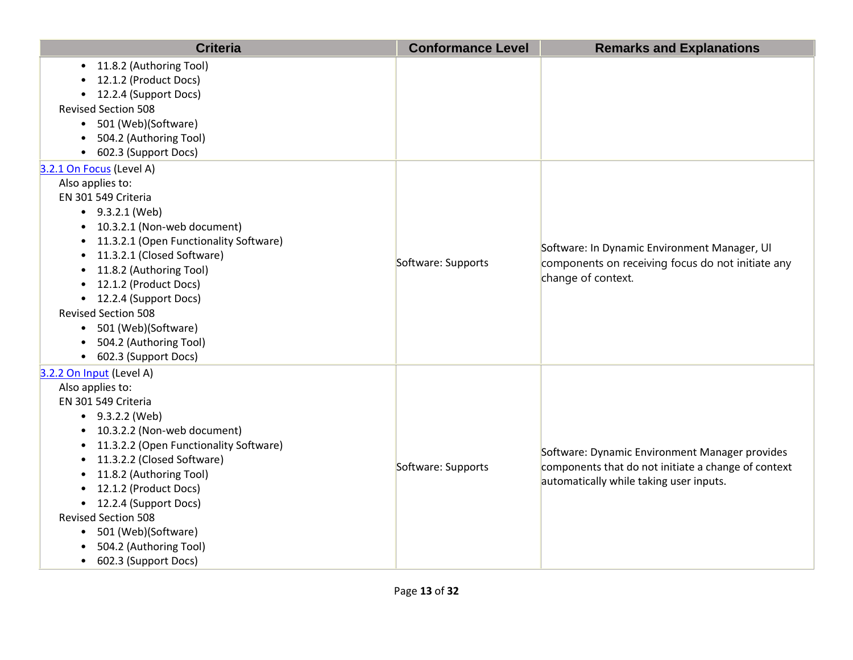| <b>Criteria</b>                                                                                                                                                                                                                                                                                                                                                                                                                                         | <b>Conformance Level</b> | <b>Remarks and Explanations</b>                                                                                                                  |
|---------------------------------------------------------------------------------------------------------------------------------------------------------------------------------------------------------------------------------------------------------------------------------------------------------------------------------------------------------------------------------------------------------------------------------------------------------|--------------------------|--------------------------------------------------------------------------------------------------------------------------------------------------|
| • 11.8.2 (Authoring Tool)<br>12.1.2 (Product Docs)<br>• 12.2.4 (Support Docs)<br><b>Revised Section 508</b><br>501 (Web)(Software)<br>$\bullet$<br>504.2 (Authoring Tool)<br>602.3 (Support Docs)                                                                                                                                                                                                                                                       |                          |                                                                                                                                                  |
| 3.2.1 On Focus (Level A)<br>Also applies to:<br>EN 301 549 Criteria<br>$-9.3.2.1$ (Web)<br>10.3.2.1 (Non-web document)<br>11.3.2.1 (Open Functionality Software)<br>11.3.2.1 (Closed Software)<br>11.8.2 (Authoring Tool)<br>• 12.1.2 (Product Docs)<br>• 12.2.4 (Support Docs)<br><b>Revised Section 508</b><br>• 501 (Web)(Software)<br>504.2 (Authoring Tool)<br>• 602.3 (Support Docs)                                                              | Software: Supports       | Software: In Dynamic Environment Manager, UI<br>components on receiving focus do not initiate any<br>change of context.                          |
| 3.2.2 On Input (Level A)<br>Also applies to:<br>EN 301 549 Criteria<br>$-9.3.2.2$ (Web)<br>• 10.3.2.2 (Non-web document)<br>11.3.2.2 (Open Functionality Software)<br>11.3.2.2 (Closed Software)<br>$\bullet$<br>11.8.2 (Authoring Tool)<br>$\bullet$<br>12.1.2 (Product Docs)<br>$\bullet$<br>• 12.2.4 (Support Docs)<br><b>Revised Section 508</b><br>501 (Web)(Software)<br>$\bullet$<br>504.2 (Authoring Tool)<br>602.3 (Support Docs)<br>$\bullet$ | Software: Supports       | Software: Dynamic Environment Manager provides<br>components that do not initiate a change of context<br>automatically while taking user inputs. |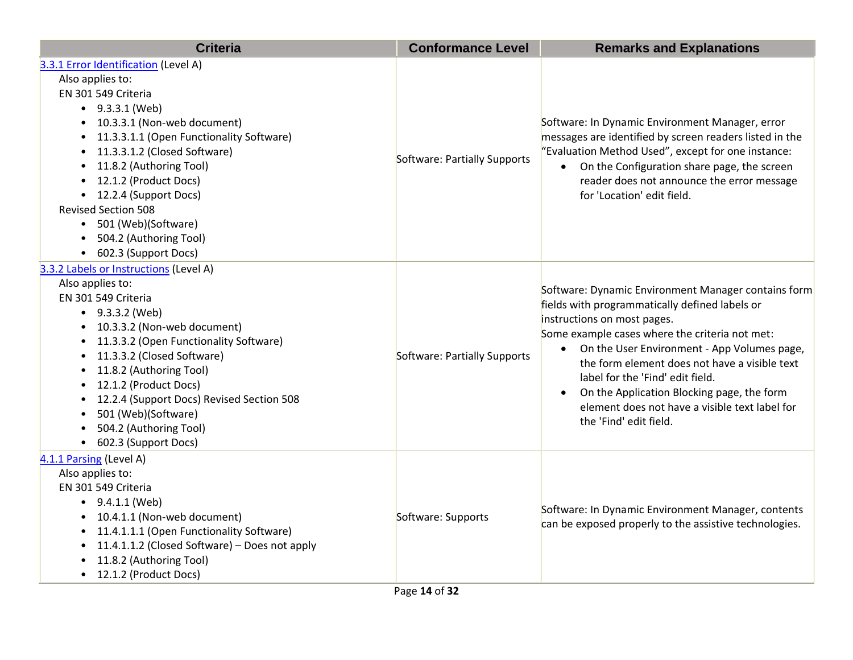| <b>Criteria</b>                                                                                                                                                                                                                                                                                                                                                                                                                | <b>Conformance Level</b>     | <b>Remarks and Explanations</b>                                                                                                                                                                                                                                                                                                                                                                                                                        |
|--------------------------------------------------------------------------------------------------------------------------------------------------------------------------------------------------------------------------------------------------------------------------------------------------------------------------------------------------------------------------------------------------------------------------------|------------------------------|--------------------------------------------------------------------------------------------------------------------------------------------------------------------------------------------------------------------------------------------------------------------------------------------------------------------------------------------------------------------------------------------------------------------------------------------------------|
| 3.3.1 Error Identification (Level A)<br>Also applies to:<br>EN 301 549 Criteria<br>$\bullet$ 9.3.3.1 (Web)<br>• 10.3.3.1 (Non-web document)<br>11.3.3.1.1 (Open Functionality Software)<br>11.3.3.1.2 (Closed Software)<br>$\bullet$<br>11.8.2 (Authoring Tool)<br>12.1.2 (Product Docs)<br>• 12.2.4 (Support Docs)<br><b>Revised Section 508</b><br>• 501 (Web)(Software)<br>504.2 (Authoring Tool)<br>• 602.3 (Support Docs) | Software: Partially Supports | Software: In Dynamic Environment Manager, error<br>messages are identified by screen readers listed in the<br>"Evaluation Method Used", except for one instance:<br>• On the Configuration share page, the screen<br>reader does not announce the error message<br>for 'Location' edit field.                                                                                                                                                          |
| 3.3.2 Labels or Instructions (Level A)<br>Also applies to:<br>EN 301 549 Criteria<br>$\bullet$ 9.3.3.2 (Web)<br>• 10.3.3.2 (Non-web document)<br>11.3.3.2 (Open Functionality Software)<br>11.3.3.2 (Closed Software)<br>11.8.2 (Authoring Tool)<br>12.1.2 (Product Docs)<br>12.2.4 (Support Docs) Revised Section 508<br>501 (Web)(Software)<br>504.2 (Authoring Tool)<br>• 602.3 (Support Docs)                              | Software: Partially Supports | Software: Dynamic Environment Manager contains form<br>fields with programmatically defined labels or<br>instructions on most pages.<br>Some example cases where the criteria not met:<br>• On the User Environment - App Volumes page,<br>the form element does not have a visible text<br>label for the 'Find' edit field.<br>On the Application Blocking page, the form<br>element does not have a visible text label for<br>the 'Find' edit field. |
| 4.1.1 Parsing (Level A)<br>Also applies to:<br>EN 301 549 Criteria<br>$\bullet$ 9.4.1.1 (Web)<br>• 10.4.1.1 (Non-web document)<br>11.4.1.1.1 (Open Functionality Software)<br>11.4.1.1.2 (Closed Software) - Does not apply<br>11.8.2 (Authoring Tool)<br>• 12.1.2 (Product Docs)                                                                                                                                              | Software: Supports           | Software: In Dynamic Environment Manager, contents<br>can be exposed properly to the assistive technologies.                                                                                                                                                                                                                                                                                                                                           |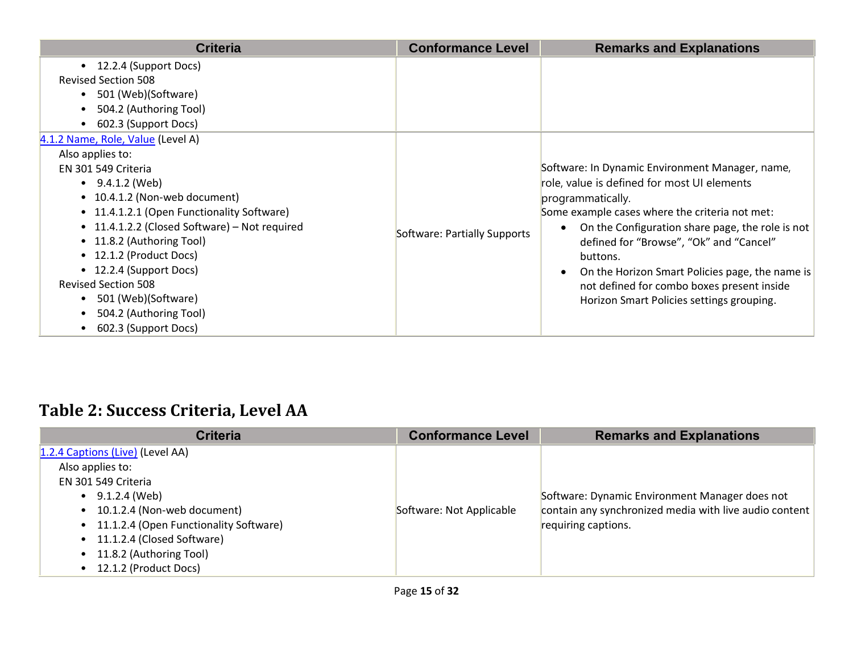| <b>Criteria</b>                                                                                                                                                                                                                                                                                                                                                                                                                                                                                  | <b>Conformance Level</b>     | <b>Remarks and Explanations</b>                                                                                                                                                                                                                                                                                                                                                                                                                          |
|--------------------------------------------------------------------------------------------------------------------------------------------------------------------------------------------------------------------------------------------------------------------------------------------------------------------------------------------------------------------------------------------------------------------------------------------------------------------------------------------------|------------------------------|----------------------------------------------------------------------------------------------------------------------------------------------------------------------------------------------------------------------------------------------------------------------------------------------------------------------------------------------------------------------------------------------------------------------------------------------------------|
| • 12.2.4 (Support Docs)<br><b>Revised Section 508</b><br>501 (Web)(Software)<br>$\bullet$<br>504.2 (Authoring Tool)<br>$\bullet$                                                                                                                                                                                                                                                                                                                                                                 |                              |                                                                                                                                                                                                                                                                                                                                                                                                                                                          |
| 602.3 (Support Docs)<br>$\bullet$<br>4.1.2 Name, Role, Value (Level A)<br>Also applies to:<br>EN 301 549 Criteria<br>$\bullet$ 9.4.1.2 (Web)<br>• 10.4.1.2 (Non-web document)<br>• 11.4.1.2.1 (Open Functionality Software)<br>• 11.4.1.2.2 (Closed Software) – Not required<br>• 11.8.2 (Authoring Tool)<br>• 12.1.2 (Product Docs)<br>• 12.2.4 (Support Docs)<br><b>Revised Section 508</b><br>501 (Web)(Software)<br>$\bullet$<br>504.2 (Authoring Tool)<br>602.3 (Support Docs)<br>$\bullet$ | Software: Partially Supports | Software: In Dynamic Environment Manager, name,<br>role, value is defined for most UI elements<br>programmatically.<br>Some example cases where the criteria not met:<br>On the Configuration share page, the role is not<br>$\bullet$<br>defined for "Browse", "Ok" and "Cancel"<br>buttons.<br>On the Horizon Smart Policies page, the name is<br>$\bullet$<br>not defined for combo boxes present inside<br>Horizon Smart Policies settings grouping. |

#### **Table 2: Success Criteria, Level AA**

| <b>Criteria</b>                          | <b>Conformance Level</b> | <b>Remarks and Explanations</b>                        |
|------------------------------------------|--------------------------|--------------------------------------------------------|
| 1.2.4 Captions (Live) (Level AA)         |                          |                                                        |
| Also applies to:                         |                          |                                                        |
| EN 301 549 Criteria                      |                          |                                                        |
| $\bullet$ 9.1.2.4 (Web)                  |                          | Software: Dynamic Environment Manager does not         |
| • 10.1.2.4 (Non-web document)            | Software: Not Applicable | contain any synchronized media with live audio content |
| • 11.1.2.4 (Open Functionality Software) |                          | requiring captions.                                    |
| • 11.1.2.4 (Closed Software)             |                          |                                                        |
| • 11.8.2 (Authoring Tool)                |                          |                                                        |
| • 12.1.2 (Product Docs)                  |                          |                                                        |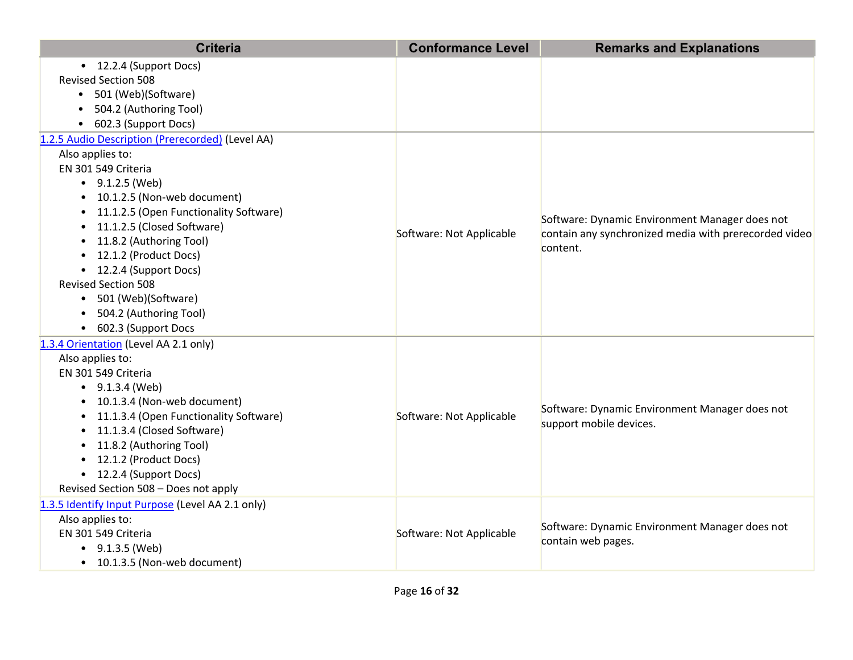| <b>Criteria</b>                                                                                                                                                                                                                                                                                                        | <b>Conformance Level</b> | <b>Remarks and Explanations</b>                                                                                     |
|------------------------------------------------------------------------------------------------------------------------------------------------------------------------------------------------------------------------------------------------------------------------------------------------------------------------|--------------------------|---------------------------------------------------------------------------------------------------------------------|
| • 12.2.4 (Support Docs)<br><b>Revised Section 508</b><br>• 501 (Web)(Software)<br>504.2 (Authoring Tool)<br>• 602.3 (Support Docs)                                                                                                                                                                                     |                          |                                                                                                                     |
| 1.2.5 Audio Description (Prerecorded) (Level AA)<br>Also applies to:<br>EN 301 549 Criteria<br>$\bullet$ 9.1.2.5 (Web)<br>• 10.1.2.5 (Non-web document)<br>• 11.1.2.5 (Open Functionality Software)<br>• 11.1.2.5 (Closed Software)<br>• 11.8.2 (Authoring Tool)<br>• 12.1.2 (Product Docs)<br>• 12.2.4 (Support Docs) | Software: Not Applicable | Software: Dynamic Environment Manager does not<br>contain any synchronized media with prerecorded video<br>content. |
| <b>Revised Section 508</b><br>• 501 (Web)(Software)<br>• 504.2 (Authoring Tool)<br>• 602.3 (Support Docs<br>1.3.4 Orientation (Level AA 2.1 only)<br>Also applies to:                                                                                                                                                  |                          |                                                                                                                     |
| EN 301 549 Criteria<br>$\bullet$ 9.1.3.4 (Web)<br>• 10.1.3.4 (Non-web document)<br>• 11.1.3.4 (Open Functionality Software)<br>• 11.1.3.4 (Closed Software)<br>• 11.8.2 (Authoring Tool)<br>• 12.1.2 (Product Docs)<br>• 12.2.4 (Support Docs)<br>Revised Section 508 - Does not apply                                 | Software: Not Applicable | Software: Dynamic Environment Manager does not<br>support mobile devices.                                           |
| 1.3.5 Identify Input Purpose (Level AA 2.1 only)<br>Also applies to:<br>EN 301 549 Criteria<br>$\bullet$ 9.1.3.5 (Web)<br>• 10.1.3.5 (Non-web document)                                                                                                                                                                | Software: Not Applicable | Software: Dynamic Environment Manager does not<br>contain web pages.                                                |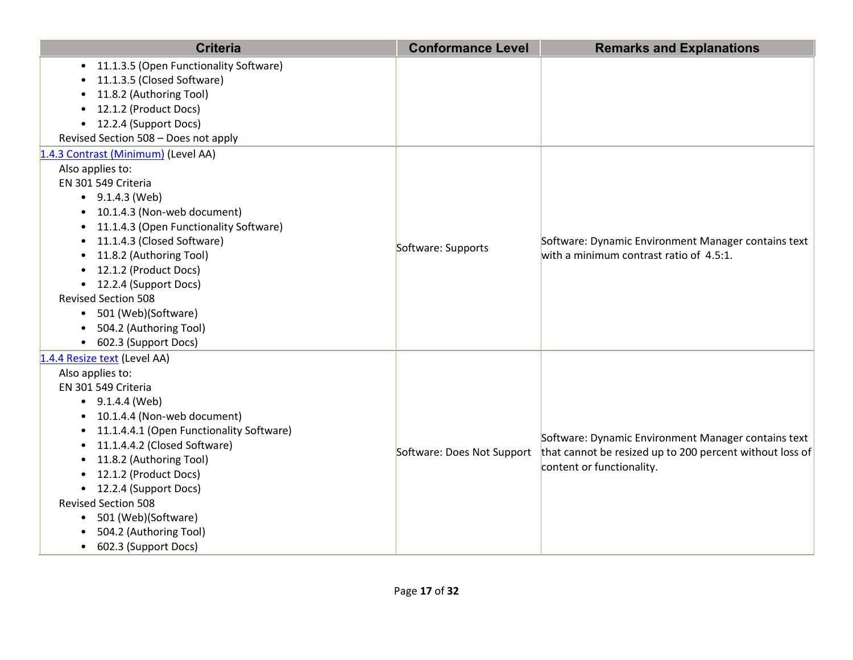| <b>Criteria</b>                                                                                                                                                                                                                                                                                                                                                                                                                    | <b>Conformance Level</b>   | <b>Remarks and Explanations</b>                                                                                                              |
|------------------------------------------------------------------------------------------------------------------------------------------------------------------------------------------------------------------------------------------------------------------------------------------------------------------------------------------------------------------------------------------------------------------------------------|----------------------------|----------------------------------------------------------------------------------------------------------------------------------------------|
| • 11.1.3.5 (Open Functionality Software)<br>11.1.3.5 (Closed Software)<br>11.8.2 (Authoring Tool)<br>12.1.2 (Product Docs)<br>• 12.2.4 (Support Docs)<br>Revised Section 508 - Does not apply                                                                                                                                                                                                                                      |                            |                                                                                                                                              |
| 1.4.3 Contrast (Minimum) (Level AA)<br>Also applies to:<br>EN 301 549 Criteria<br>$\bullet$ 9.1.4.3 (Web)<br>• 10.1.4.3 (Non-web document)<br>11.1.4.3 (Open Functionality Software)<br>11.1.4.3 (Closed Software)<br>11.8.2 (Authoring Tool)<br>$\bullet$<br>12.1.2 (Product Docs)<br>• 12.2.4 (Support Docs)<br><b>Revised Section 508</b><br>501 (Web)(Software)<br>504.2 (Authoring Tool)<br>602.3 (Support Docs)<br>$\bullet$ | Software: Supports         | Software: Dynamic Environment Manager contains text<br>with a minimum contrast ratio of 4.5:1.                                               |
| 1.4.4 Resize text (Level AA)<br>Also applies to:<br>EN 301 549 Criteria<br>$\bullet$ 9.1.4.4 (Web)<br>• 10.1.4.4 (Non-web document)<br>11.1.4.4.1 (Open Functionality Software)<br>11.1.4.4.2 (Closed Software)<br>11.8.2 (Authoring Tool)<br>12.1.2 (Product Docs)<br>• 12.2.4 (Support Docs)<br><b>Revised Section 508</b><br>501 (Web)(Software)<br>$\bullet$<br>504.2 (Authoring Tool)<br>• 602.3 (Support Docs)               | Software: Does Not Support | Software: Dynamic Environment Manager contains text<br>that cannot be resized up to 200 percent without loss of<br>content or functionality. |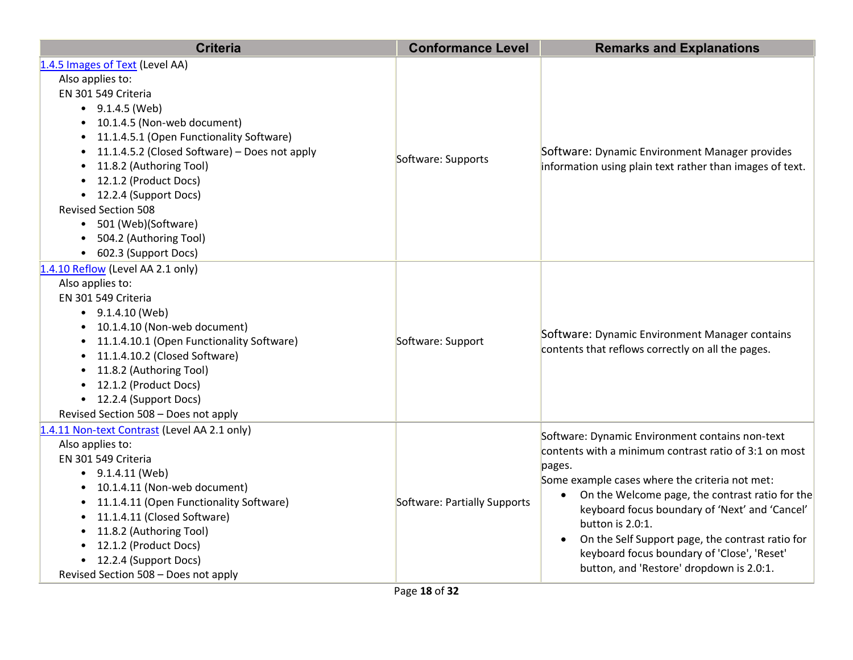| <b>Criteria</b>                                                                                                                                                                                                                                                                                                                                                                                                                                             | <b>Conformance Level</b>     | <b>Remarks and Explanations</b>                                                                                                                                                                                                                                                                                                                                                                                                              |
|-------------------------------------------------------------------------------------------------------------------------------------------------------------------------------------------------------------------------------------------------------------------------------------------------------------------------------------------------------------------------------------------------------------------------------------------------------------|------------------------------|----------------------------------------------------------------------------------------------------------------------------------------------------------------------------------------------------------------------------------------------------------------------------------------------------------------------------------------------------------------------------------------------------------------------------------------------|
| 1.4.5 Images of Text (Level AA)<br>Also applies to:<br>EN 301 549 Criteria<br>$\bullet$ 9.1.4.5 (Web)<br>• 10.1.4.5 (Non-web document)<br>• 11.1.4.5.1 (Open Functionality Software)<br>11.1.4.5.2 (Closed Software) - Does not apply<br>$\bullet$<br>11.8.2 (Authoring Tool)<br>$\bullet$<br>• 12.1.2 (Product Docs)<br>• 12.2.4 (Support Docs)<br><b>Revised Section 508</b><br>• 501 (Web)(Software)<br>504.2 (Authoring Tool)<br>• 602.3 (Support Docs) | Software: Supports           | Software: Dynamic Environment Manager provides<br>information using plain text rather than images of text.                                                                                                                                                                                                                                                                                                                                   |
| 1.4.10 Reflow (Level AA 2.1 only)<br>Also applies to:<br>EN 301 549 Criteria<br>$\bullet$ 9.1.4.10 (Web)<br>• 10.1.4.10 (Non-web document)<br>• 11.1.4.10.1 (Open Functionality Software)<br>• 11.1.4.10.2 (Closed Software)<br>• 11.8.2 (Authoring Tool)<br>• 12.1.2 (Product Docs)<br>• 12.2.4 (Support Docs)<br>Revised Section 508 - Does not apply                                                                                                     | Software: Support            | Software: Dynamic Environment Manager contains<br>contents that reflows correctly on all the pages.                                                                                                                                                                                                                                                                                                                                          |
| 1.4.11 Non-text Contrast (Level AA 2.1 only)<br>Also applies to:<br>EN 301 549 Criteria<br>$\bullet$ 9.1.4.11 (Web)<br>• 10.1.4.11 (Non-web document)<br>• 11.1.4.11 (Open Functionality Software)<br>• 11.1.4.11 (Closed Software)<br>• 11.8.2 (Authoring Tool)<br>• 12.1.2 (Product Docs)<br>• 12.2.4 (Support Docs)<br>Revised Section 508 - Does not apply                                                                                              | Software: Partially Supports | Software: Dynamic Environment contains non-text<br>contents with a minimum contrast ratio of 3:1 on most<br>pages.<br>Some example cases where the criteria not met:<br>On the Welcome page, the contrast ratio for the<br>keyboard focus boundary of 'Next' and 'Cancel'<br>button is 2.0:1.<br>On the Self Support page, the contrast ratio for<br>keyboard focus boundary of 'Close', 'Reset'<br>button, and 'Restore' dropdown is 2.0:1. |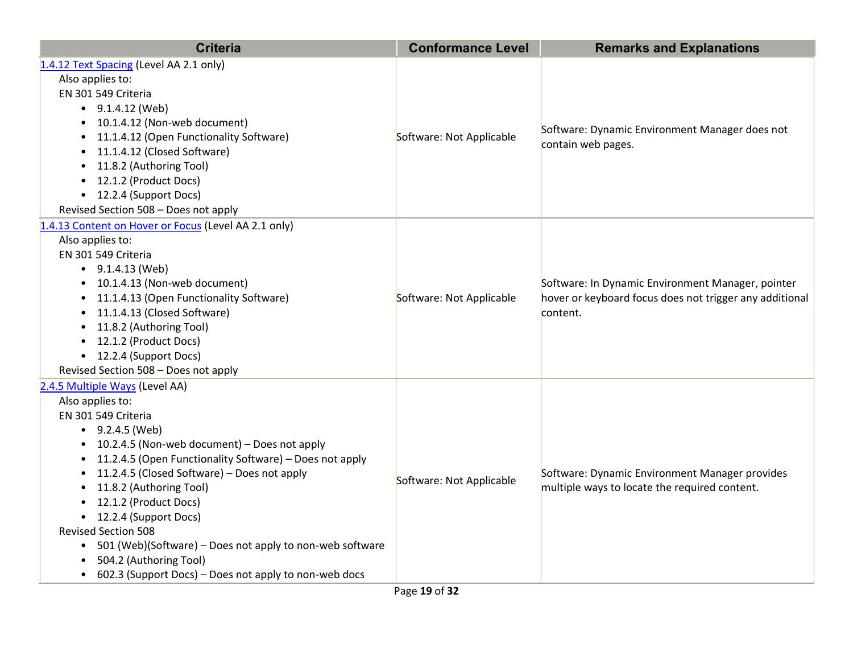| <b>Criteria</b>                                                                                                                                                                                                                                                                                                                                                                                                                                                                                                                                                                               | <b>Conformance Level</b> | <b>Remarks and Explanations</b>                                                                                          |
|-----------------------------------------------------------------------------------------------------------------------------------------------------------------------------------------------------------------------------------------------------------------------------------------------------------------------------------------------------------------------------------------------------------------------------------------------------------------------------------------------------------------------------------------------------------------------------------------------|--------------------------|--------------------------------------------------------------------------------------------------------------------------|
| 1.4.12 Text Spacing (Level AA 2.1 only)<br>Also applies to:<br>EN 301 549 Criteria<br>$\bullet$ 9.1.4.12 (Web)<br>10.1.4.12 (Non-web document)<br>$\bullet$<br>11.1.4.12 (Open Functionality Software)<br>$\bullet$<br>11.1.4.12 (Closed Software)<br>$\bullet$<br>11.8.2 (Authoring Tool)<br>$\bullet$<br>12.1.2 (Product Docs)<br>$\bullet$<br>• 12.2.4 (Support Docs)<br>Revised Section 508 - Does not apply                                                                                                                                                                              | Software: Not Applicable | Software: Dynamic Environment Manager does not<br>contain web pages.                                                     |
| 1.4.13 Content on Hover or Focus (Level AA 2.1 only)<br>Also applies to:<br>EN 301 549 Criteria<br>$\bullet$ 9.1.4.13 (Web)<br>10.1.4.13 (Non-web document)<br>$\bullet$<br>11.1.4.13 (Open Functionality Software)<br>$\bullet$<br>11.1.4.13 (Closed Software)<br>$\bullet$<br>11.8.2 (Authoring Tool)<br>$\bullet$<br>12.1.2 (Product Docs)<br>$\bullet$<br>• 12.2.4 (Support Docs)<br>Revised Section 508 - Does not apply                                                                                                                                                                 | Software: Not Applicable | Software: In Dynamic Environment Manager, pointer<br>hover or keyboard focus does not trigger any additional<br>content. |
| 2.4.5 Multiple Ways (Level AA)<br>Also applies to:<br>EN 301 549 Criteria<br>$\bullet$ 9.2.4.5 (Web)<br>• 10.2.4.5 (Non-web document) - Does not apply<br>11.2.4.5 (Open Functionality Software) - Does not apply<br>11.2.4.5 (Closed Software) - Does not apply<br>$\bullet$<br>11.8.2 (Authoring Tool)<br>$\bullet$<br>12.1.2 (Product Docs)<br>• 12.2.4 (Support Docs)<br><b>Revised Section 508</b><br>501 (Web)(Software) - Does not apply to non-web software<br>$\bullet$<br>504.2 (Authoring Tool)<br>$\bullet$<br>602.3 (Support Docs) – Does not apply to non-web docs<br>$\bullet$ | Software: Not Applicable | Software: Dynamic Environment Manager provides<br>multiple ways to locate the required content.                          |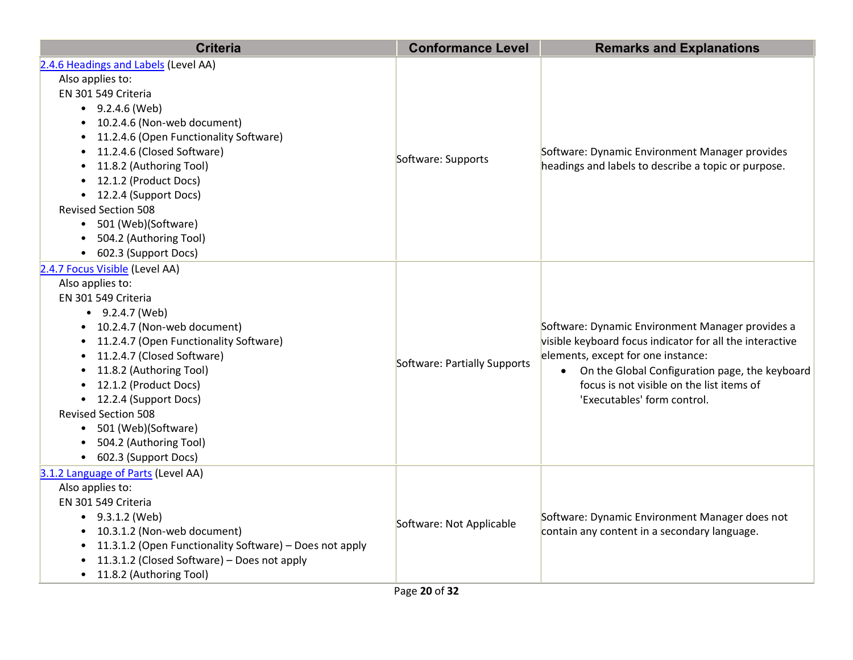| <b>Criteria</b>                                                      | <b>Conformance Level</b>     | <b>Remarks and Explanations</b>                                                                                                                    |
|----------------------------------------------------------------------|------------------------------|----------------------------------------------------------------------------------------------------------------------------------------------------|
| 2.4.6 Headings and Labels (Level AA)                                 |                              |                                                                                                                                                    |
| Also applies to:                                                     |                              |                                                                                                                                                    |
| EN 301 549 Criteria                                                  |                              |                                                                                                                                                    |
| $-9.2.4.6$ (Web)                                                     |                              | Software: Dynamic Environment Manager provides<br>headings and labels to describe a topic or purpose.                                              |
| • 10.2.4.6 (Non-web document)                                        |                              |                                                                                                                                                    |
| • 11.2.4.6 (Open Functionality Software)                             |                              |                                                                                                                                                    |
| • 11.2.4.6 (Closed Software)                                         | Software: Supports           |                                                                                                                                                    |
| • 11.8.2 (Authoring Tool)                                            |                              |                                                                                                                                                    |
| • 12.1.2 (Product Docs)                                              |                              |                                                                                                                                                    |
| • 12.2.4 (Support Docs)                                              |                              |                                                                                                                                                    |
| <b>Revised Section 508</b>                                           |                              |                                                                                                                                                    |
| • 501 (Web)(Software)                                                |                              |                                                                                                                                                    |
| 504.2 (Authoring Tool)<br>$\bullet$                                  |                              |                                                                                                                                                    |
| • 602.3 (Support Docs)                                               |                              |                                                                                                                                                    |
| 2.4.7 Focus Visible (Level AA)                                       |                              |                                                                                                                                                    |
| Also applies to:                                                     |                              |                                                                                                                                                    |
| EN 301 549 Criteria                                                  |                              |                                                                                                                                                    |
| $\bullet$ 9.2.4.7 (Web)                                              |                              | Software: Dynamic Environment Manager provides a<br>visible keyboard focus indicator for all the interactive<br>elements, except for one instance: |
| • 10.2.4.7 (Non-web document)                                        |                              |                                                                                                                                                    |
| • 11.2.4.7 (Open Functionality Software)                             |                              |                                                                                                                                                    |
| 11.2.4.7 (Closed Software)<br>$\bullet$                              | Software: Partially Supports |                                                                                                                                                    |
| 11.8.2 (Authoring Tool)<br>$\bullet$                                 |                              | • On the Global Configuration page, the keyboard                                                                                                   |
| • 12.1.2 (Product Docs)                                              |                              | focus is not visible on the list items of                                                                                                          |
| • 12.2.4 (Support Docs)                                              |                              | 'Executables' form control.                                                                                                                        |
| <b>Revised Section 508</b>                                           |                              |                                                                                                                                                    |
| • 501 (Web)(Software)                                                |                              |                                                                                                                                                    |
| 504.2 (Authoring Tool)                                               |                              |                                                                                                                                                    |
| • 602.3 (Support Docs)                                               |                              |                                                                                                                                                    |
| 3.1.2 Language of Parts (Level AA)                                   |                              |                                                                                                                                                    |
| Also applies to:                                                     |                              |                                                                                                                                                    |
| EN 301 549 Criteria                                                  |                              |                                                                                                                                                    |
| $-9.3.1.2$ (Web)                                                     | Software: Not Applicable     | Software: Dynamic Environment Manager does not<br>contain any content in a secondary language.                                                     |
| • 10.3.1.2 (Non-web document)                                        |                              |                                                                                                                                                    |
| 11.3.1.2 (Open Functionality Software) - Does not apply<br>$\bullet$ |                              |                                                                                                                                                    |
| 11.3.1.2 (Closed Software) - Does not apply<br>$\bullet$             |                              |                                                                                                                                                    |
| • 11.8.2 (Authoring Tool)                                            |                              |                                                                                                                                                    |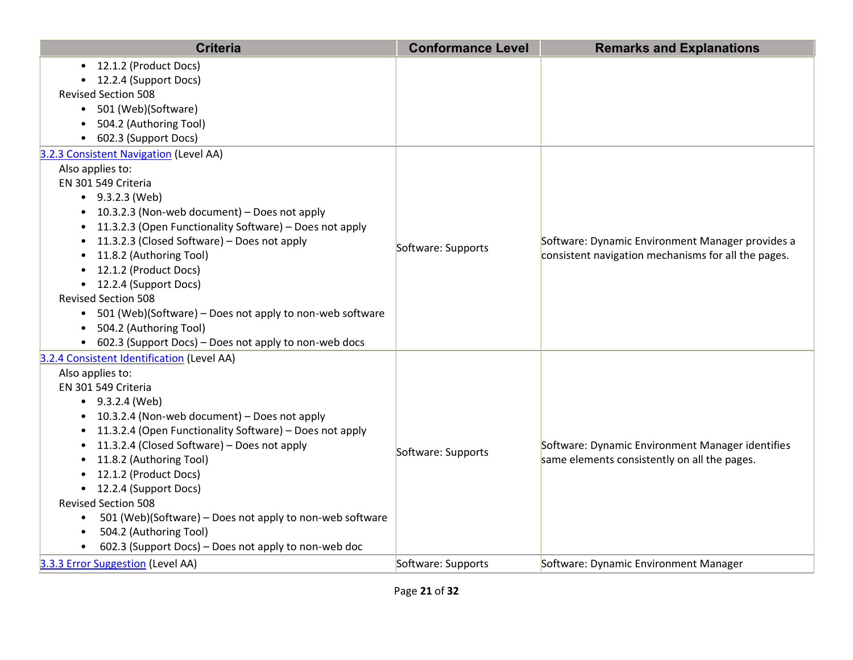| <b>Criteria</b>                                                       | <b>Conformance Level</b> | <b>Remarks and Explanations</b>                     |
|-----------------------------------------------------------------------|--------------------------|-----------------------------------------------------|
| 12.1.2 (Product Docs)<br>$\bullet$                                    |                          |                                                     |
| 12.2.4 (Support Docs)                                                 |                          |                                                     |
| <b>Revised Section 508</b>                                            |                          |                                                     |
| 501 (Web)(Software)<br>$\bullet$                                      |                          |                                                     |
| 504.2 (Authoring Tool)<br>$\bullet$                                   |                          |                                                     |
| 602.3 (Support Docs)<br>$\bullet$                                     |                          |                                                     |
| 3.2.3 Consistent Navigation (Level AA)                                |                          |                                                     |
| Also applies to:                                                      |                          |                                                     |
| EN 301 549 Criteria                                                   |                          |                                                     |
| $\bullet$ 9.3.2.3 (Web)                                               |                          |                                                     |
| 10.3.2.3 (Non-web document) - Does not apply<br>$\bullet$             |                          |                                                     |
| 11.3.2.3 (Open Functionality Software) - Does not apply<br>$\bullet$  |                          |                                                     |
| 11.3.2.3 (Closed Software) - Does not apply<br>$\bullet$              | Software: Supports       | Software: Dynamic Environment Manager provides a    |
| 11.8.2 (Authoring Tool)                                               |                          | consistent navigation mechanisms for all the pages. |
| 12.1.2 (Product Docs)                                                 |                          |                                                     |
| 12.2.4 (Support Docs)<br>$\bullet$                                    |                          |                                                     |
| <b>Revised Section 508</b>                                            |                          |                                                     |
| 501 (Web)(Software) - Does not apply to non-web software<br>$\bullet$ |                          |                                                     |
| 504.2 (Authoring Tool)                                                |                          |                                                     |
| 602.3 (Support Docs) - Does not apply to non-web docs                 |                          |                                                     |
| 3.2.4 Consistent Identification (Level AA)                            |                          |                                                     |
| Also applies to:                                                      |                          |                                                     |
| EN 301 549 Criteria                                                   |                          |                                                     |
| $-9.3.2.4$ (Web)                                                      |                          |                                                     |
| 10.3.2.4 (Non-web document) - Does not apply<br>$\bullet$             |                          |                                                     |
| 11.3.2.4 (Open Functionality Software) - Does not apply<br>$\bullet$  |                          |                                                     |
| 11.3.2.4 (Closed Software) - Does not apply<br>$\bullet$              | Software: Supports       | Software: Dynamic Environment Manager identifies    |
| 11.8.2 (Authoring Tool)<br>$\bullet$                                  |                          | same elements consistently on all the pages.        |
| 12.1.2 (Product Docs)<br>$\bullet$                                    |                          |                                                     |
| 12.2.4 (Support Docs)<br>$\bullet$                                    |                          |                                                     |
| <b>Revised Section 508</b>                                            |                          |                                                     |
| 501 (Web)(Software) - Does not apply to non-web software<br>$\bullet$ |                          |                                                     |
| 504.2 (Authoring Tool)<br>$\bullet$                                   |                          |                                                     |
| 602.3 (Support Docs) – Does not apply to non-web doc<br>$\bullet$     |                          |                                                     |
| 3.3.3 Error Suggestion (Level AA)                                     | Software: Supports       | Software: Dynamic Environment Manager               |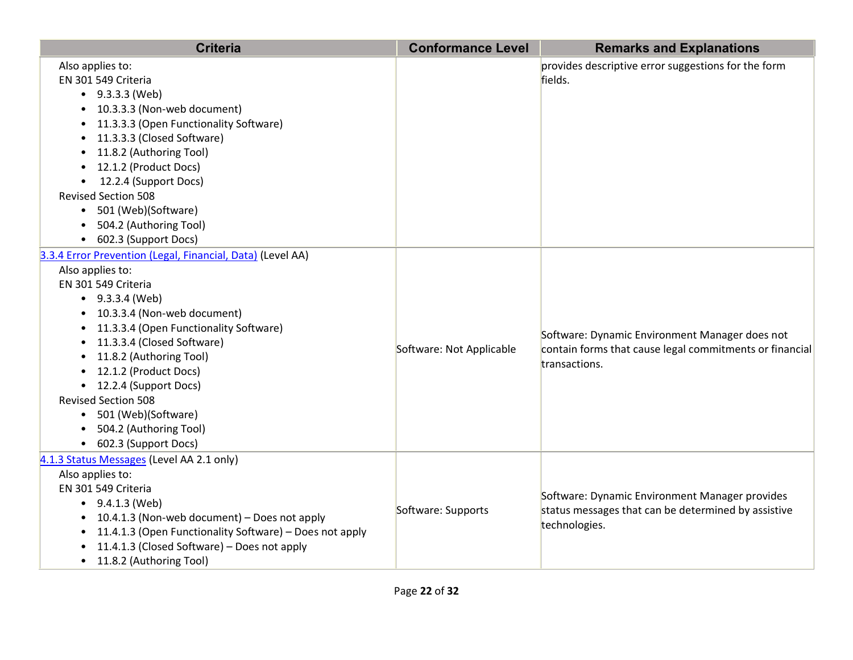| <b>Criteria</b>                                                                                                                                                                                                                                                                                                                                                                                                                     | <b>Conformance Level</b> | <b>Remarks and Explanations</b>                                                                                            |
|-------------------------------------------------------------------------------------------------------------------------------------------------------------------------------------------------------------------------------------------------------------------------------------------------------------------------------------------------------------------------------------------------------------------------------------|--------------------------|----------------------------------------------------------------------------------------------------------------------------|
| Also applies to:<br>EN 301 549 Criteria<br>$-9.3.3.3$ (Web)<br>10.3.3.3 (Non-web document)<br>11.3.3.3 (Open Functionality Software)<br>11.3.3.3 (Closed Software)<br>11.8.2 (Authoring Tool)<br>12.1.2 (Product Docs)<br>12.2.4 (Support Docs)<br><b>Revised Section 508</b><br>• 501 (Web)(Software)<br>504.2 (Authoring Tool)<br>• 602.3 (Support Docs)                                                                          |                          | provides descriptive error suggestions for the form<br>fields.                                                             |
| 3.3.4 Error Prevention (Legal, Financial, Data) (Level AA)<br>Also applies to:<br>EN 301 549 Criteria<br>$\bullet$ 9.3.3.4 (Web)<br>• 10.3.3.4 (Non-web document)<br>11.3.3.4 (Open Functionality Software)<br>11.3.3.4 (Closed Software)<br>11.8.2 (Authoring Tool)<br>12.1.2 (Product Docs)<br>• 12.2.4 (Support Docs)<br><b>Revised Section 508</b><br>• 501 (Web)(Software)<br>504.2 (Authoring Tool)<br>• 602.3 (Support Docs) | Software: Not Applicable | Software: Dynamic Environment Manager does not<br>contain forms that cause legal commitments or financial<br>transactions. |
| 4.1.3 Status Messages (Level AA 2.1 only)<br>Also applies to:<br>EN 301 549 Criteria<br>$\bullet$ 9.4.1.3 (Web)<br>10.4.1.3 (Non-web document) - Does not apply<br>$\bullet$<br>11.4.1.3 (Open Functionality Software) - Does not apply<br>$\bullet$<br>11.4.1.3 (Closed Software) - Does not apply<br>• 11.8.2 (Authoring Tool)                                                                                                    | Software: Supports       | Software: Dynamic Environment Manager provides<br>status messages that can be determined by assistive<br>technologies.     |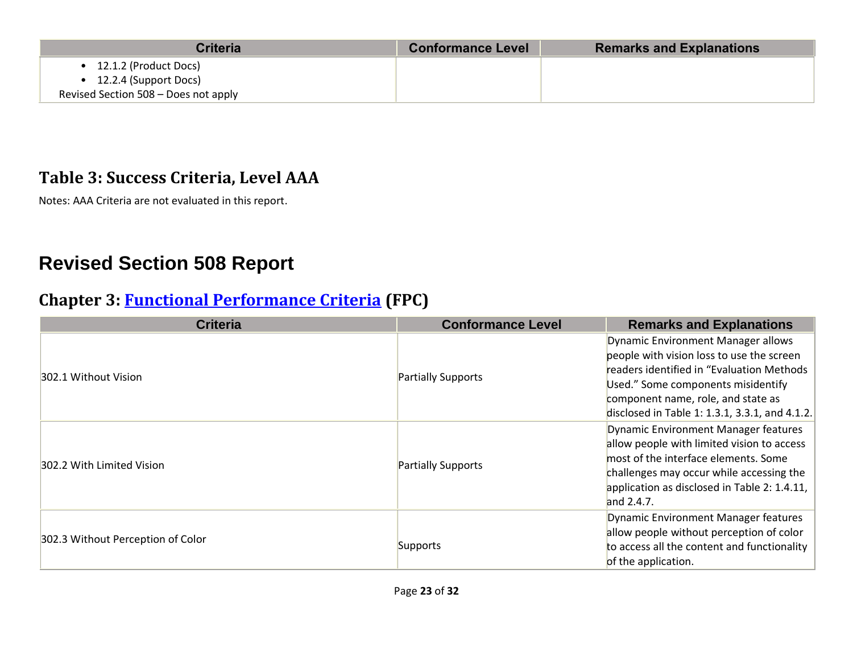| <b>Criteria</b>                                                                        | <b>Conformance Level</b> | <b>Remarks and Explanations</b> |
|----------------------------------------------------------------------------------------|--------------------------|---------------------------------|
| 12.1.2 (Product Docs)<br>12.2.4 (Support Docs)<br>Revised Section 508 - Does not apply |                          |                                 |

#### **Table 3: Success Criteria, Level AAA**

Notes: AAA Criteria are not evaluated in this report.

## **Revised Section 508 Report**

#### **Chapter 3: [Functional Performance Criteria](https://www.access-board.gov/guidelines-and-standards/communications-and-it/about-the-ict-refresh/final-rule/text-of-the-standards-and-guidelines#302-functional-performance-criteria) (FPC)**

| <b>Criteria</b>                   | <b>Conformance Level</b>  | <b>Remarks and Explanations</b>                                                                                                                                                                                                                            |
|-----------------------------------|---------------------------|------------------------------------------------------------------------------------------------------------------------------------------------------------------------------------------------------------------------------------------------------------|
| 302.1 Without Vision              | Partially Supports        | Dynamic Environment Manager allows<br>people with vision loss to use the screen<br>readers identified in "Evaluation Methods<br>Used." Some components misidentify<br>component name, role, and state as<br>disclosed in Table 1: 1.3.1, 3.3.1, and 4.1.2. |
| 302.2 With Limited Vision         | <b>Partially Supports</b> | Dynamic Environment Manager features<br>allow people with limited vision to access<br>most of the interface elements. Some<br>challenges may occur while accessing the<br>application as disclosed in Table 2: 1.4.11,<br>and $2.4.7$ .                    |
| 302.3 Without Perception of Color | Supports                  | Dynamic Environment Manager features<br>allow people without perception of color<br>to access all the content and functionality<br>of the application.                                                                                                     |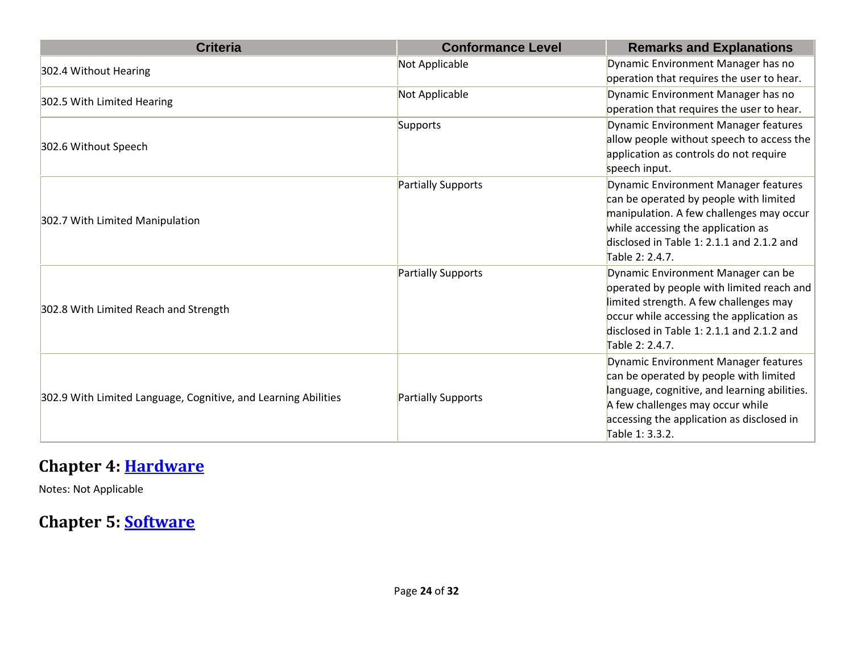| <b>Criteria</b>                                                | <b>Conformance Level</b> | <b>Remarks and Explanations</b>                                                                                                                                                                                                       |
|----------------------------------------------------------------|--------------------------|---------------------------------------------------------------------------------------------------------------------------------------------------------------------------------------------------------------------------------------|
| 302.4 Without Hearing                                          | Not Applicable           | Dynamic Environment Manager has no<br>operation that requires the user to hear.                                                                                                                                                       |
| 302.5 With Limited Hearing                                     | Not Applicable           | Dynamic Environment Manager has no<br>operation that requires the user to hear.                                                                                                                                                       |
| 302.6 Without Speech                                           | Supports                 | Dynamic Environment Manager features<br>allow people without speech to access the<br>application as controls do not require<br>speech input.                                                                                          |
| 302.7 With Limited Manipulation                                | Partially Supports       | Dynamic Environment Manager features<br>can be operated by people with limited<br>manipulation. A few challenges may occur<br>while accessing the application as<br>disclosed in Table 1: 2.1.1 and 2.1.2 and<br>Table 2: 2.4.7.      |
| 302.8 With Limited Reach and Strength                          | Partially Supports       | Dynamic Environment Manager can be<br>operated by people with limited reach and<br>limited strength. A few challenges may<br>occur while accessing the application as<br>disclosed in Table 1: 2.1.1 and 2.1.2 and<br>Table 2: 2.4.7. |
| 302.9 With Limited Language, Cognitive, and Learning Abilities | Partially Supports       | Dynamic Environment Manager features<br>can be operated by people with limited<br>language, cognitive, and learning abilities.<br>A few challenges may occur while<br>accessing the application as disclosed in<br>Table 1: 3.3.2.    |

#### **Chapter 4: [Hardware](https://www.access-board.gov/guidelines-and-standards/communications-and-it/about-the-ict-refresh/final-rule/text-of-the-standards-and-guidelines#401-general)**

Notes: Not Applicable

#### **Chapter 5: [Software](https://www.access-board.gov/guidelines-and-standards/communications-and-it/about-the-ict-refresh/final-rule/text-of-the-standards-and-guidelines#501-general)**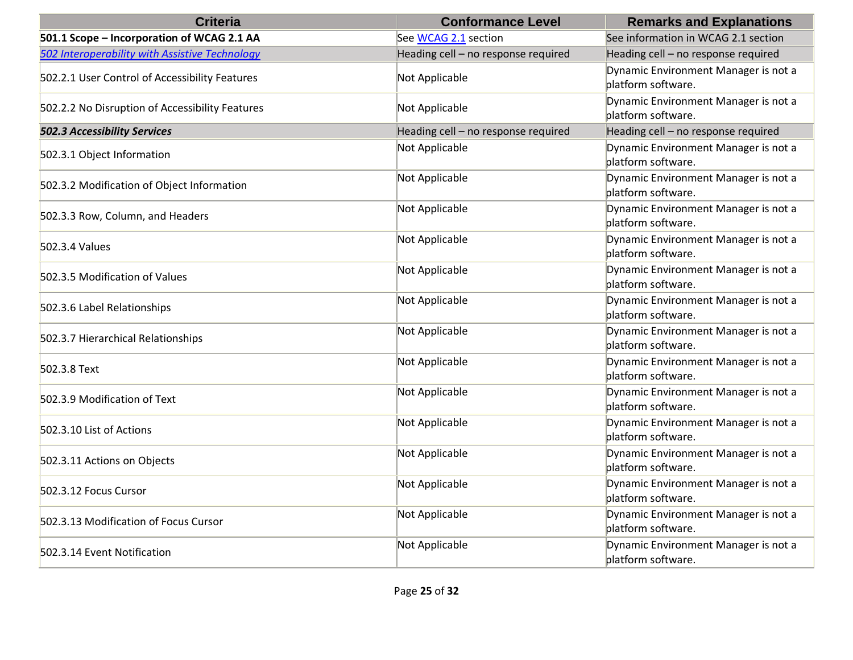| <b>Criteria</b>                                 | <b>Conformance Level</b>            | <b>Remarks and Explanations</b>                            |
|-------------------------------------------------|-------------------------------------|------------------------------------------------------------|
| 501.1 Scope - Incorporation of WCAG 2.1 AA      | See WCAG 2.1 section                | See information in WCAG 2.1 section                        |
| 502 Interoperability with Assistive Technology  | Heading cell - no response required | Heading cell - no response required                        |
| 502.2.1 User Control of Accessibility Features  | Not Applicable                      | Dynamic Environment Manager is not a<br>platform software. |
| 502.2.2 No Disruption of Accessibility Features | Not Applicable                      | Dynamic Environment Manager is not a<br>platform software. |
| <b>502.3 Accessibility Services</b>             | Heading cell - no response required | Heading cell - no response required                        |
| 502.3.1 Object Information                      | Not Applicable                      | Dynamic Environment Manager is not a<br>platform software. |
| 502.3.2 Modification of Object Information      | Not Applicable                      | Dynamic Environment Manager is not a<br>platform software. |
| 502.3.3 Row, Column, and Headers                | Not Applicable                      | Dynamic Environment Manager is not a<br>platform software. |
| 502.3.4 Values                                  | Not Applicable                      | Dynamic Environment Manager is not a<br>platform software. |
| 502.3.5 Modification of Values                  | Not Applicable                      | Dynamic Environment Manager is not a<br>platform software. |
| 502.3.6 Label Relationships                     | Not Applicable                      | Dynamic Environment Manager is not a<br>platform software. |
| 502.3.7 Hierarchical Relationships              | Not Applicable                      | Dynamic Environment Manager is not a<br>platform software. |
| 502.3.8 Text                                    | Not Applicable                      | Dynamic Environment Manager is not a<br>platform software. |
| 502.3.9 Modification of Text                    | Not Applicable                      | Dynamic Environment Manager is not a<br>platform software. |
| 502.3.10 List of Actions                        | Not Applicable                      | Dynamic Environment Manager is not a<br>platform software. |
| 502.3.11 Actions on Objects                     | Not Applicable                      | Dynamic Environment Manager is not a<br>platform software. |
| 502.3.12 Focus Cursor                           | Not Applicable                      | Dynamic Environment Manager is not a<br>platform software. |
| 502.3.13 Modification of Focus Cursor           | Not Applicable                      | Dynamic Environment Manager is not a<br>platform software. |
| 502.3.14 Event Notification                     | Not Applicable                      | Dynamic Environment Manager is not a<br>platform software. |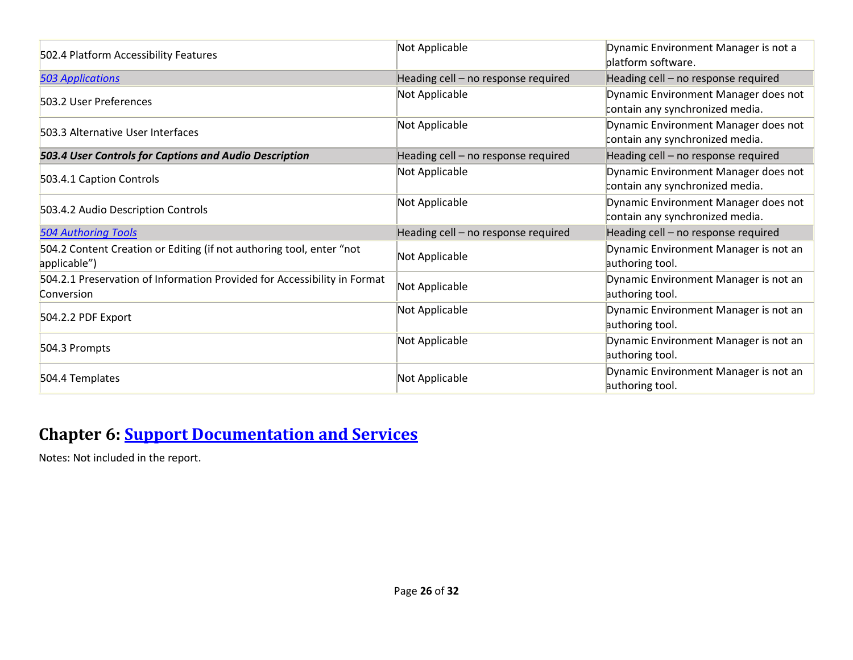| 502.4 Platform Accessibility Features                                                  | Not Applicable                      | Dynamic Environment Manager is not a<br>platform software.              |
|----------------------------------------------------------------------------------------|-------------------------------------|-------------------------------------------------------------------------|
| <b>503 Applications</b>                                                                | Heading cell - no response required | Heading cell - no response required                                     |
| 503.2 User Preferences                                                                 | Not Applicable                      | Dynamic Environment Manager does not<br>contain any synchronized media. |
| 503.3 Alternative User Interfaces                                                      | Not Applicable                      | Dynamic Environment Manager does not<br>contain any synchronized media. |
| 503.4 User Controls for Captions and Audio Description                                 | Heading cell - no response required | Heading cell - no response required                                     |
| 503.4.1 Caption Controls                                                               | Not Applicable                      | Dynamic Environment Manager does not<br>contain any synchronized media. |
| 503.4.2 Audio Description Controls                                                     | Not Applicable                      | Dynamic Environment Manager does not<br>contain any synchronized media. |
| <b>504 Authoring Tools</b>                                                             | Heading cell - no response required | Heading cell - no response required                                     |
| 504.2 Content Creation or Editing (if not authoring tool, enter "not<br>applicable")   | Not Applicable                      | Dynamic Environment Manager is not an<br>authoring tool.                |
| 504.2.1 Preservation of Information Provided for Accessibility in Format<br>Conversion | Not Applicable                      | Dynamic Environment Manager is not an<br>authoring tool.                |
| $504.2.2$ PDF Export                                                                   | Not Applicable                      | Dynamic Environment Manager is not an<br>authoring tool.                |
| 504.3 Prompts                                                                          | Not Applicable                      | Dynamic Environment Manager is not an<br>authoring tool.                |
| 504.4 Templates                                                                        | Not Applicable                      | Dynamic Environment Manager is not an<br>authoring tool.                |

#### **Chapter 6: [Support Documentation and Services](https://www.access-board.gov/guidelines-and-standards/communications-and-it/about-the-ict-refresh/final-rule/text-of-the-standards-and-guidelines#601-general)**

Notes: Not included in the report.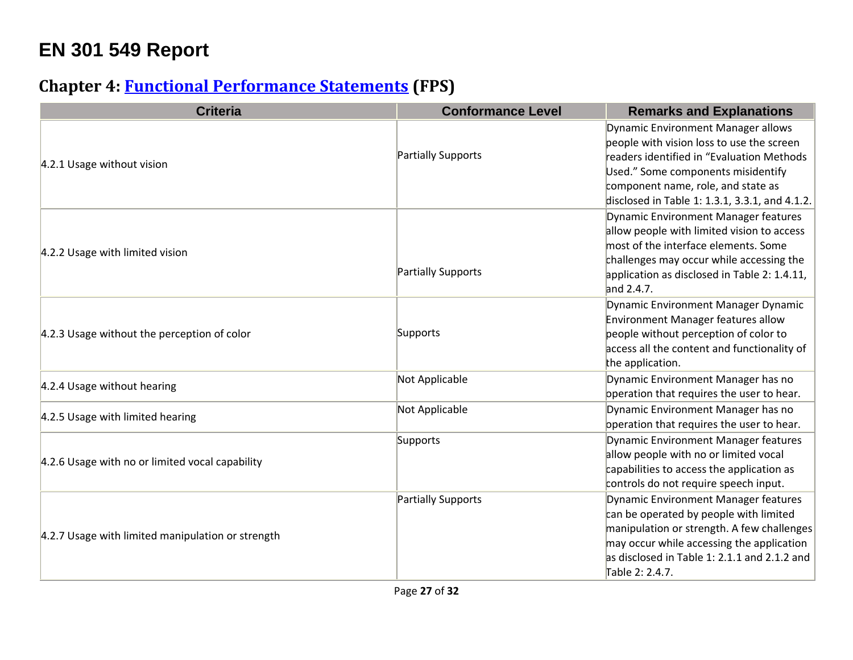## **EN 301 549 Report**

#### **Chapter 4: [Functional Performance Statements](https://www.etsi.org/deliver/etsi_en/301500_301599/301549/03.01.01_60/en_301549v030101p.pdf#%5B%7B%22num%22%3A38%2C%22gen%22%3A0%7D%2C%7B%22name%22%3A%22XYZ%22%7D%2C54%2C747%2C0%5D) (FPS)**

| <b>Criteria</b>                                   | <b>Conformance Level</b> | <b>Remarks and Explanations</b>                                                                                                                                                                                                                            |
|---------------------------------------------------|--------------------------|------------------------------------------------------------------------------------------------------------------------------------------------------------------------------------------------------------------------------------------------------------|
| 4.2.1 Usage without vision                        | Partially Supports       | Dynamic Environment Manager allows<br>people with vision loss to use the screen<br>readers identified in "Evaluation Methods<br>Used." Some components misidentify<br>component name, role, and state as<br>disclosed in Table 1: 1.3.1, 3.3.1, and 4.1.2. |
| 4.2.2 Usage with limited vision                   | Partially Supports       | Dynamic Environment Manager features<br>allow people with limited vision to access<br>most of the interface elements. Some<br>challenges may occur while accessing the<br>application as disclosed in Table 2: 1.4.11,<br>and 2.4.7.                       |
| 4.2.3 Usage without the perception of color       | Supports                 | Dynamic Environment Manager Dynamic<br>Environment Manager features allow<br>people without perception of color to<br>access all the content and functionality of<br>the application.                                                                      |
| 4.2.4 Usage without hearing                       | Not Applicable           | Dynamic Environment Manager has no<br>operation that requires the user to hear.                                                                                                                                                                            |
| 4.2.5 Usage with limited hearing                  | Not Applicable           | Dynamic Environment Manager has no<br>operation that requires the user to hear.                                                                                                                                                                            |
| 4.2.6 Usage with no or limited vocal capability   | Supports                 | Dynamic Environment Manager features<br>allow people with no or limited vocal<br>capabilities to access the application as<br>controls do not require speech input.                                                                                        |
| 4.2.7 Usage with limited manipulation or strength | Partially Supports       | Dynamic Environment Manager features<br>can be operated by people with limited<br>manipulation or strength. A few challenges<br>may occur while accessing the application<br>as disclosed in Table 1: 2.1.1 and 2.1.2 and<br>Table 2: 2.4.7.               |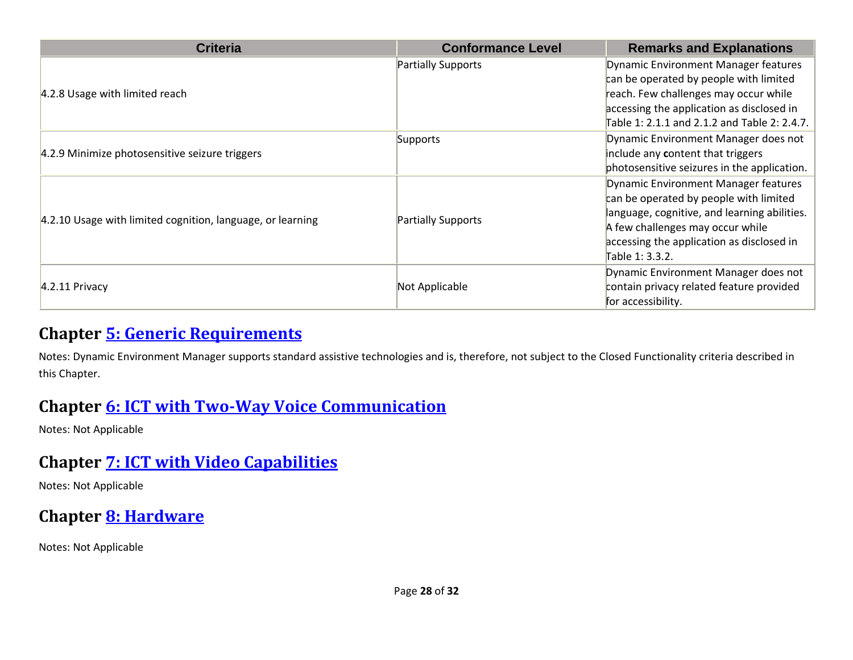| <b>Criteria</b>                                            | <b>Conformance Level</b> | <b>Remarks and Explanations</b>                                                                                                                                                                                                    |
|------------------------------------------------------------|--------------------------|------------------------------------------------------------------------------------------------------------------------------------------------------------------------------------------------------------------------------------|
| 4.2.8 Usage with limited reach                             | Partially Supports       | Dynamic Environment Manager features<br>can be operated by people with limited<br>reach. Few challenges may occur while<br>accessing the application as disclosed in<br>Table 1: 2.1.1 and 2.1.2 and Table 2: 2.4.7.               |
| 4.2.9 Minimize photosensitive seizure triggers             | Supports                 | Dynamic Environment Manager does not<br>include any content that triggers<br>photosensitive seizures in the application.                                                                                                           |
| 4.2.10 Usage with limited cognition, language, or learning | Partially Supports       | Dynamic Environment Manager features<br>can be operated by people with limited<br>language, cognitive, and learning abilities.<br>A few challenges may occur while<br>accessing the application as disclosed in<br>Table 1: 3.3.2. |
| $4.2.11$ Privacy                                           | Not Applicable           | Dynamic Environment Manager does not<br>contain privacy related feature provided<br>for accessibility.                                                                                                                             |

#### **Chapter [5: Generic Requirements](https://www.etsi.org/deliver/etsi_en/301500_301599/301549/03.01.01_60/en_301549v030101p.pdf#%5B%7B%22num%22%3A45%2C%22gen%22%3A0%7D%2C%7B%22name%22%3A%22XYZ%22%7D%2C54%2C747%2C0%5D)**

Notes: Dynamic Environment Manager supports standard assistive technologies and is, therefore, not subject to the Closed Functionality criteria described in this Chapter.

#### **Chapter [6: ICT with Two-Way Voice Communication](https://www.etsi.org/deliver/etsi_en/301500_301599/301549/03.01.01_60/en_301549v030101p.pdf#%5B%7B%22num%22%3A60%2C%22gen%22%3A0%7D%2C%7B%22name%22%3A%22XYZ%22%7D%2C54%2C747%2C0%5D)**

Notes: Not Applicable

#### **Chapter [7: ICT with Video Capabilities](https://www.etsi.org/deliver/etsi_en/301500_301599/301549/03.01.01_60/en_301549v030101p.pdf#%5B%7B%22num%22%3A70%2C%22gen%22%3A0%7D%2C%7B%22name%22%3A%22XYZ%22%7D%2C54%2C747%2C0%5D)**

Notes: Not Applicable

## **Chapter [8: Hardware](https://www.etsi.org/deliver/etsi_en/301500_301599/301549/03.01.01_60/en_301549v030101p.pdf#%5B%7B%22num%22%3A74%2C%22gen%22%3A0%7D%2C%7B%22name%22%3A%22XYZ%22%7D%2C54%2C747%2C0%5D)**

Notes: Not Applicable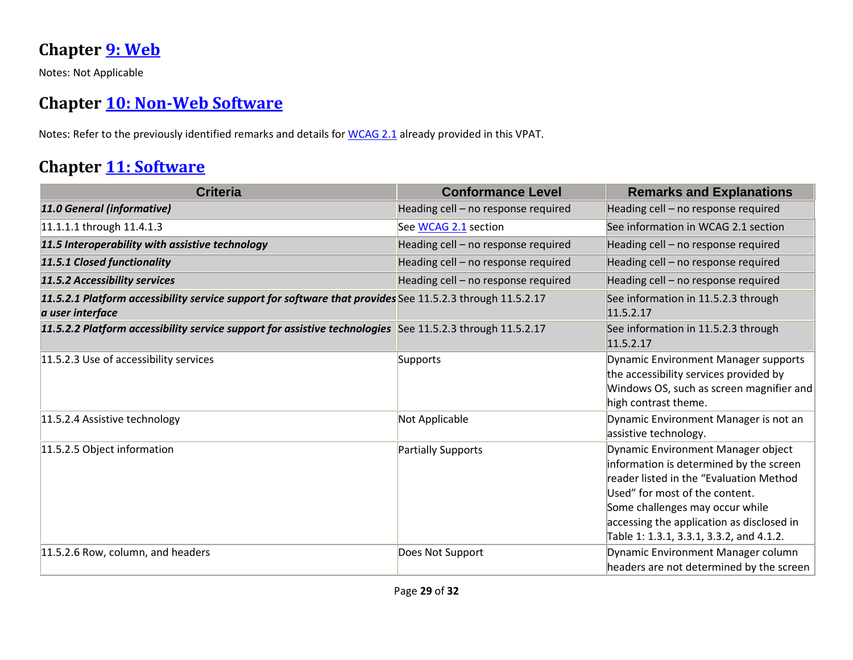#### **Chapter [9: Web](https://www.etsi.org/deliver/etsi_en/301500_301599/301549/03.01.01_60/en_301549v030101p.pdf#%5B%7B%22num%22%3A113%2C%22gen%22%3A0%7D%2C%7B%22name%22%3A%22XYZ%22%7D%2C54%2C747%2C0%5D)**

Notes: Not Applicable

#### **Chapter [10: Non-Web Software](https://www.etsi.org/deliver/etsi_en/301500_301599/301549/03.01.01_60/en_301549v030101p.pdf#%5B%7B%22num%22%3A127%2C%22gen%22%3A0%7D%2C%7B%22name%22%3A%22XYZ%22%7D%2C54%2C747%2C0%5D)**

Notes: Refer to the previously identified remarks and details for [WCAG 2.1](file:///C:/Users/dineshkumar.ti/OneDrive%20-%20HCL%20Technologies%20Ltd/All%20Files/VMWare/Scenarios_Schedule/VPAT2.4RevINT--February2020.doc%23_WCAG_2.x_Report) already provided in this VPAT.

#### **Chapter [11: Software](https://www.etsi.org/deliver/etsi_en/301500_301599/301549/03.01.01_60/en_301549v030101p.pdf#%5B%7B%22num%22%3A149%2C%22gen%22%3A0%7D%2C%7B%22name%22%3A%22XYZ%22%7D%2C54%2C747%2C0%5D)**

| <b>Criteria</b>                                                                                                               | <b>Conformance Level</b>            | <b>Remarks and Explanations</b>                                                                                                                                                                                                                                                        |
|-------------------------------------------------------------------------------------------------------------------------------|-------------------------------------|----------------------------------------------------------------------------------------------------------------------------------------------------------------------------------------------------------------------------------------------------------------------------------------|
| 11.0 General (informative)                                                                                                    | Heading cell - no response required | Heading cell - no response required                                                                                                                                                                                                                                                    |
| 11.1.1.1 through 11.4.1.3                                                                                                     | See WCAG 2.1 section                | See information in WCAG 2.1 section                                                                                                                                                                                                                                                    |
| 11.5 Interoperability with assistive technology                                                                               | Heading cell - no response required | Heading cell - no response required                                                                                                                                                                                                                                                    |
| 11.5.1 Closed functionality                                                                                                   | Heading cell - no response required | Heading cell - no response required                                                                                                                                                                                                                                                    |
| 11.5.2 Accessibility services                                                                                                 | Heading cell - no response required | Heading cell - no response required                                                                                                                                                                                                                                                    |
| 11.5.2.1 Platform accessibility service support for software that provides See 11.5.2.3 through 11.5.2.17<br>a user interface |                                     | See information in 11.5.2.3 through<br>11.5.2.17                                                                                                                                                                                                                                       |
| 11.5.2.2 Platform accessibility service support for assistive technologies See 11.5.2.3 through 11.5.2.17                     |                                     | See information in 11.5.2.3 through<br>11.5.2.17                                                                                                                                                                                                                                       |
| 11.5.2.3 Use of accessibility services                                                                                        | Supports                            | <b>Dynamic Environment Manager supports</b><br>the accessibility services provided by<br>Windows OS, such as screen magnifier and<br>high contrast theme.                                                                                                                              |
| 11.5.2.4 Assistive technology                                                                                                 | Not Applicable                      | Dynamic Environment Manager is not an<br>assistive technology.                                                                                                                                                                                                                         |
| 11.5.2.5 Object information                                                                                                   | Partially Supports                  | Dynamic Environment Manager object<br>information is determined by the screen<br>reader listed in the "Evaluation Method<br>Used" for most of the content.<br>Some challenges may occur while<br>accessing the application as disclosed in<br>Table 1: 1.3.1, 3.3.1, 3.3.2, and 4.1.2. |
| 11.5.2.6 Row, column, and headers                                                                                             | Does Not Support                    | Dynamic Environment Manager column<br>headers are not determined by the screen                                                                                                                                                                                                         |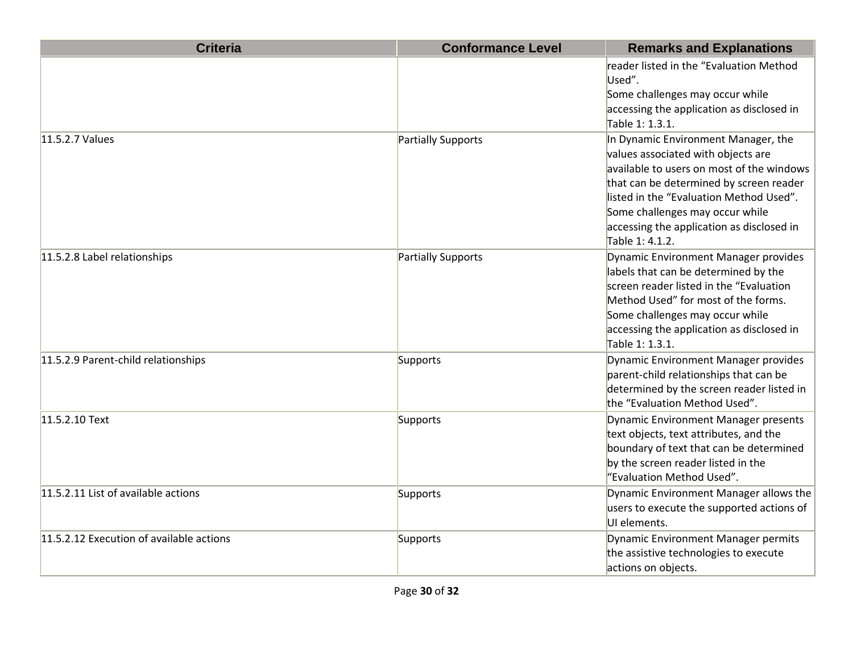| <b>Criteria</b>                          | <b>Conformance Level</b> | <b>Remarks and Explanations</b>                                                                                                                                                                                                                                                                                  |
|------------------------------------------|--------------------------|------------------------------------------------------------------------------------------------------------------------------------------------------------------------------------------------------------------------------------------------------------------------------------------------------------------|
|                                          |                          | reader listed in the "Evaluation Method<br>Used".<br>Some challenges may occur while<br>accessing the application as disclosed in<br>Table 1: 1.3.1.                                                                                                                                                             |
| 11.5.2.7 Values                          | Partially Supports       | In Dynamic Environment Manager, the<br>values associated with objects are<br>available to users on most of the windows<br>that can be determined by screen reader<br>llisted in the "Evaluation Method Used".<br>Some challenges may occur while<br>accessing the application as disclosed in<br>Table 1: 4.1.2. |
| 11.5.2.8 Label relationships             | Partially Supports       | Dynamic Environment Manager provides<br>labels that can be determined by the<br>screen reader listed in the "Evaluation<br>Method Used" for most of the forms.<br>Some challenges may occur while<br>accessing the application as disclosed in<br>Table 1: 1.3.1.                                                |
| 11.5.2.9 Parent-child relationships      | Supports                 | Dynamic Environment Manager provides<br>parent-child relationships that can be<br>determined by the screen reader listed in<br>the "Evaluation Method Used".                                                                                                                                                     |
| 11.5.2.10 Text                           | Supports                 | Dynamic Environment Manager presents<br>text objects, text attributes, and the<br>boundary of text that can be determined<br>by the screen reader listed in the<br>"Evaluation Method Used".                                                                                                                     |
| 11.5.2.11 List of available actions      | Supports                 | Dynamic Environment Manager allows the<br>users to execute the supported actions of<br>UI elements.                                                                                                                                                                                                              |
| 11.5.2.12 Execution of available actions | Supports                 | Dynamic Environment Manager permits<br>the assistive technologies to execute<br>actions on objects.                                                                                                                                                                                                              |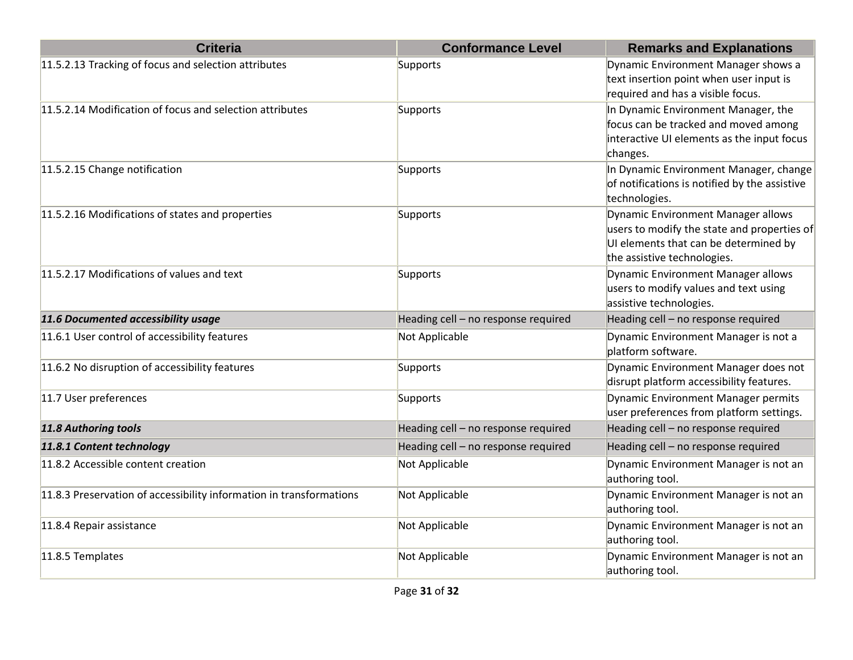| <b>Criteria</b>                                                     | <b>Conformance Level</b>            | <b>Remarks and Explanations</b>                                                                                                                           |
|---------------------------------------------------------------------|-------------------------------------|-----------------------------------------------------------------------------------------------------------------------------------------------------------|
| 11.5.2.13 Tracking of focus and selection attributes                | Supports                            | Dynamic Environment Manager shows a<br>text insertion point when user input is<br>required and has a visible focus.                                       |
| 11.5.2.14 Modification of focus and selection attributes            | Supports                            | In Dynamic Environment Manager, the<br>focus can be tracked and moved among<br>interactive UI elements as the input focus<br>changes.                     |
| 11.5.2.15 Change notification                                       | Supports                            | In Dynamic Environment Manager, change<br>of notifications is notified by the assistive<br>technologies.                                                  |
| 11.5.2.16 Modifications of states and properties                    | Supports                            | Dynamic Environment Manager allows<br>users to modify the state and properties of<br>UI elements that can be determined by<br>the assistive technologies. |
| 11.5.2.17 Modifications of values and text                          | Supports                            | Dynamic Environment Manager allows<br>users to modify values and text using<br>assistive technologies.                                                    |
| 11.6 Documented accessibility usage                                 | Heading cell - no response required | Heading cell - no response required                                                                                                                       |
| 11.6.1 User control of accessibility features                       | Not Applicable                      | Dynamic Environment Manager is not a<br>platform software.                                                                                                |
| 11.6.2 No disruption of accessibility features                      | Supports                            | Dynamic Environment Manager does not<br>disrupt platform accessibility features.                                                                          |
| 11.7 User preferences                                               | Supports                            | Dynamic Environment Manager permits<br>user preferences from platform settings.                                                                           |
| 11.8 Authoring tools                                                | Heading cell - no response required | Heading cell - no response required                                                                                                                       |
| 11.8.1 Content technology                                           | Heading cell - no response required | Heading cell - no response required                                                                                                                       |
| 11.8.2 Accessible content creation                                  | Not Applicable                      | Dynamic Environment Manager is not an<br>authoring tool.                                                                                                  |
| 11.8.3 Preservation of accessibility information in transformations | Not Applicable                      | Dynamic Environment Manager is not an<br>authoring tool.                                                                                                  |
| 11.8.4 Repair assistance                                            | Not Applicable                      | Dynamic Environment Manager is not an<br>authoring tool.                                                                                                  |
| 11.8.5 Templates                                                    | Not Applicable                      | Dynamic Environment Manager is not an<br>authoring tool.                                                                                                  |